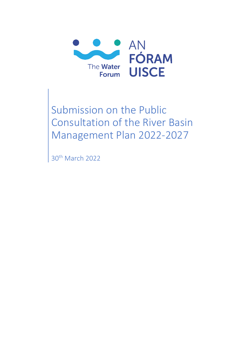

Submission on the Public Consultation of the River Basin Management Plan 2022-2027

30<sup>th</sup> March 2022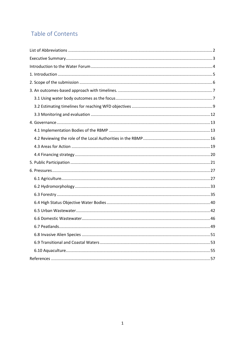# Table of Contents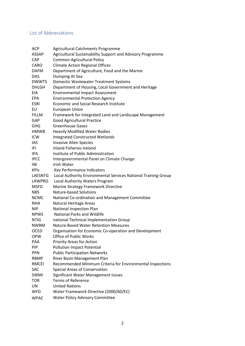# <span id="page-2-0"></span>List of Abbreviations

| <b>ACP</b>     | Agricultural Catchments Programme                              |
|----------------|----------------------------------------------------------------|
| <b>ASSAP</b>   | Agricultural Sustainability Support and Advisory Programme     |
| <b>CAP</b>     | <b>Common Agricultural Policy</b>                              |
| <b>CARO</b>    | <b>Climate Action Regional Offices</b>                         |
| <b>DAFM</b>    | Department of Agriculture, Food and the Marine                 |
| <b>DAS</b>     | Dumping At Sea                                                 |
| <b>DWWTS</b>   | Domestic Wastewater Treatment Systems                          |
| <b>DHLGH</b>   | Department of Housing, Local Government and Heritage           |
| EIA            | <b>Environmental Impact Assessment</b>                         |
| <b>EPA</b>     | <b>Environmental Protection Agency</b>                         |
| <b>ESRI</b>    | <b>Economic and Social Research Institute</b>                  |
| EU             | European Union                                                 |
| <b>FILLM</b>   | Framework for Integrated Land and Landscape Management         |
| GAP            | <b>Good Agricultural Practice</b>                              |
| <b>GHG</b>     | <b>Greenhouse Gases</b>                                        |
| HMWB           | <b>Heavily Modified Water Bodies</b>                           |
| <b>ICW</b>     | <b>Integrated Constructed Wetlands</b>                         |
| IAS.           | <b>Invasive Alien Species</b>                                  |
| IFI            | Inland Fisheries Ireland                                       |
| IPA.           | Institute of Public Administration                             |
| <b>IPCC</b>    | Intergovernmental Panel on Climate Change                      |
| IW             | <b>Irish Water</b>                                             |
| <b>KPIs</b>    | Key Performance Indicators                                     |
| <b>LAESNTG</b> | Local Authority Environmental Services National Training Group |
| LAWPRO         | Local Authority Waters Program                                 |
| <b>MSFD</b>    | Marine Strategy Framework Directive                            |
| <b>NBS</b>     | Nature-based Solutions                                         |
| <b>NCMC</b>    | National Co-ordination and Management Committee                |
| <b>NHA</b>     | Natural Heritage Areas                                         |
| <b>NIP</b>     | <b>National Inspection Plan</b>                                |
| <b>NPWS</b>    | <b>National Parks and Wildlife</b>                             |
| <b>NTIG</b>    | national Technical Implementation Group                        |
| <b>NWRM</b>    | Nature-Based Water Retention Measures                          |
| OCED           | Organisation for Economic Co-operation and Development         |
| <b>OPW</b>     | <b>Office of Public Works</b>                                  |
| <b>PAA</b>     | Priority Areas for Action                                      |
| PIP            | <b>Pollution Impact Potential</b>                              |
| <b>PPN</b>     | <b>Public Participation Networks</b>                           |
| <b>RBMP</b>    | River Basin Management Plan                                    |
| <b>RMCEI</b>   | Recommended Minimum Criteria for Environmental Inspections     |
| <b>SAC</b>     | Special Areas of Conservation                                  |
| SWMI           | Significant Water Management Issues                            |
| <b>TOR</b>     | <b>Terms of Reference</b>                                      |
| UN             | <b>United Nations</b>                                          |
| <b>WFD</b>     | Water Framework Directive (2000/60/EC)                         |
| <b>WPAC</b>    | <b>Water Policy Advisory Committee</b>                         |
|                |                                                                |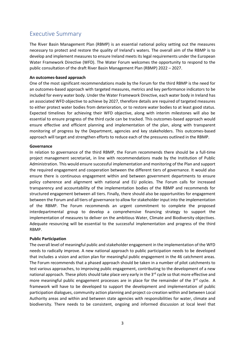# <span id="page-3-0"></span>Executive Summary

The River Basin Management Plan (RBMP) is an essential national policy setting out the measures necessary to protect and restore the quality of Ireland's waters. The overall aim of the RBMP is to develop and implement measures to ensure Ireland meets its legal requirements under the European Water Framework Directive (WFD). The Water Forum welcomes the opportunity to respond to the public consultation of the draft River Basin Management Plan (RBMP) 2022 – 2027.

#### **An outcomes-based approach**

One of the most significant recommendations made by the Forum for the third RBMP is the need for an outcomes-based approach with targeted measures, metrics and key performance indicators to be included for every water body. Under the Water Framework Directive, each water body in Ireland has an associated WFD objective to achieve by 2027, therefore details are required of targeted measures to either protect water bodies from deterioration, or to restore water bodies to at least good status. Expected timelines for achieving their WFD objective, along with interim milestones will also be essential to ensure progress of the third cycle can be tracked. This outcomes-based approach would ensure effective and efficient planning and implementation of the plan, along with transparent monitoring of progress by the Department, agencies and key stakeholders. This outcomes-based approach will target and strengthen efforts to reduce each of the pressures outlined in the RBMP.

#### **Governance**

In relation to governance of the third RBMP, the Forum recommends there should be a full-time project management secretariat, in line with recommendations made by the Institution of Public Administration. This would ensure successful implementation and monitoring of the Plan and support the required engagement and cooperation between the different tiers of governance. It would also ensure there is continuous engagement within and between government departments to ensure policy coherence and alignment with national and EU policies. The Forum calls for increased transparency and accountability of the implementation bodies of the RBMP and recommends for structured engagement between all tiers. Finally, there should also be opportunities for engagement between the Forum and all tiers of governance to allow for stakeholder input into the implementation of the RBMP. The Forum recommends an urgent commitment to complete the proposed interdepartmental group to develop a comprehensive financing strategy to support the implementation of measures to deliver on the ambitious Water, Climate and Biodiversity objectives. Adequate resourcing will be essential to the successful implementation and progress of the third RBMP.

#### **Public Participation**

The overall level of meaningful public and stakeholder engagement in the implementation of the WFD needs to radically improve. A new national approach to public participation needs to be developed that includes a vision and action plan for meaningful public engagement in the 46 catchment areas. The Forum recommends that a phased approach should be taken in a number of pilot catchments to test various approaches, to improving public engagement, contributing to the development of a new national approach. These pilots should take place very early in the 3<sup>rd</sup> cycle so that more effective and more meaningful public engagement processes are in place for the remainder of the 3<sup>rd</sup> cycle. A framework will have to be developed to support the development and implementation of public participation dialogues, community action planning and project co-creation within and between Local Authority areas and within and between state agencies with responsibilities for water, climate and biodiversity. There needs to be consistent, ongoing and informed discussion at local level that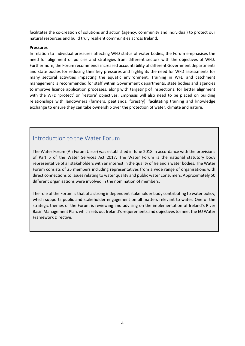facilitates the co-creation of solutions and action (agency, community and individual) to protect our natural resources and build truly resilient communities across Ireland.

#### **Pressures**

In relation to individual pressures affecting WFD status of water bodies, the Forum emphasises the need for alignment of policies and strategies from different sectors with the objectives of WFD. Furthermore, the Forum recommends increased accountability of different Government departments and state bodies for reducing their key pressures and highlights the need for WFD assessments for many sectoral activities impacting the aquatic environment. Training in WFD and catchment management is recommended for staff within Government departments, state bodies and agencies to improve licence application processes, along with targeting of inspections, for better alignment with the WFD 'protect' or 'restore' objectives. Emphasis will also need to be placed on building relationships with landowners (farmers, peatlands, forestry), facilitating training and knowledge exchange to ensure they can take ownership over the protection of water, climate and nature.

# Introduction to the Water Forum

The Water Forum (An Fóram Uisce) was established in June 2018 in accordance with the provisions of Part 5 of the Water Services Act 2017. The Water Forum is the national statutory body representative of all stakeholders with an interest in the quality of Ireland's water bodies. The Water Forum consists of 25 members including representatives from a wide range of organisations with direct connections to issues relating to water quality and public water consumers. Approximately 50 different organisations were involved in the nomination of members.

The role of the Forum is that of a strong independent stakeholder body contributing to water policy, which supports public and stakeholder engagement on all matters relevant to water. One of the strategic themes of the Forum is reviewing and advising on the implementation of Ireland's River Basin Management Plan, which sets out Ireland's requirements and objectives to meet the EU Water Framework Directive.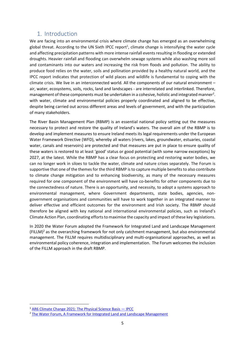# <span id="page-5-0"></span>1. Introduction

We are facing into an environmental crisis where climate change has emerged as an overwhelming global threat. According to the UN Sixth IPCC report<sup>1</sup>, climate change is intensifying the water cycle and affecting precipitation patterns with more intense rainfall events resulting in flooding or extended droughts. Heavier rainfall and flooding can overwhelm sewage systems while also washing more soil and contaminants into our waters and increasing the risk from floods and pollution. The ability to produce food relies on the water, soils and pollination provided by a healthy natural world, and the IPCC report indicates that protection of wild places and wildlife is fundamental to coping with the climate crisis. We live in an interconnected world. All the components of our natural environment – air, water, ecosystems, soils, rocks, land and landscapes - are interrelated and interlinked. Therefore, management of these components must be undertaken in a cohesive, holistic and integrated manner<sup>2</sup>. with water, climate and environmental policies properly coordinated and aligned to be effective, despite being carried out across different areas and levels of government, and with the participation of many stakeholders.

The River Basin Management Plan (RBMP) is an essential national policy setting out the measures necessary to protect and restore the quality of Ireland's waters. The overall aim of the RBMP is to develop and implement measures to ensure Ireland meets its legal requirements under the European Water Framework Directive (WFD), whereby all waters (rivers, lakes, groundwater, estuaries, coastal water, canals and reservoirs) are protected and that measures are put in place to ensure quality of these waters is restored to at least 'good' status or good potential (with some narrow exceptions) by 2027, at the latest. While the RBMP has a clear focus on protecting and restoring water bodies, we can no longer work in siloes to tackle the water, climate and nature crises separately. The Forum is supportive that one of the themes for the third RBMP is to capture multiple benefits to also contribute to climate change mitigation and to enhancing biodiversity, as many of the necessary measures required for one component of the environment will have co-benefits for other components due to the connectedness of nature. There is an opportunity, and necessity, to adopt a systems approach to environmental management, where Government departments, state bodies, agencies, nongovernment organisations and communities will have to work together in an integrated manner to deliver effective and efficient outcomes for the environment and Irish society. The RBMP should therefore be aligned with key national and international environmental policies, such as Ireland's Climate Action Plan, coordinating efforts to maximise the capacity and impact of these key legislations.

In 2020 the Water Forum adopted the Framework for Integrated Land and Landscape Management  $(FILLM)^2$  as the overarching framework for not only catchment management, but also environmental management. The FILLM requires multidisciplinary and multi-organisational approaches, as well as environmental policy coherence, integration and implementation. The Forum welcomes the inclusion of the FILLM approach in the draft RBMP.

<sup>1</sup> [AR6 Climate Change 2021: The Physical Science Basis](https://www.ipcc.ch/report/sixth-assessment-report-working-group-i/) — IPCC

<sup>&</sup>lt;sup>2</sup> [The Water Forum, A Framework for Integrated Land and Landscape Management](https://www.thewaterforum.ie/app/uploads/2021/03/TWF-FILLM-Report-Feb21-v9WEB.pdf)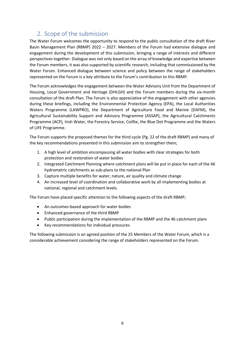# <span id="page-6-0"></span>2. Scope of the submission

The Water Forum welcomes the opportunity to respond to the public consultation of the draft River Basin Management Plan (RBMP) 2022 – 2027. Members of the Forum had extensive dialogue and engagement during the development of this submission, bringing a range of interests and different perspectives together. Dialogue was not only based on the array of knowledge and expertise between the Forum members, it was also supported by scientific research, including that commissioned by the Water Forum. Enhanced dialogue between science and policy between the range of stakeholders represented on the Forum is a key attribute to the Forum's contribution to this RBMP.

The Forum acknowledges the engagement between the Water Advisory Unit from the Department of Housing, Local Government and Heritage (DHLGH) and the Forum members during the six-month consultation of the draft Plan. The Forum is also appreciative of the engagement with other agencies during these briefings, including the Environmental Protection Agency (EPA), the Local Authorities Waters Programme (LAWPRO), the Department of Agriculture Food and Marine (DAFM), the Agricultural Sustainability Support and Advisory Programme (ASSAP), the Agricultural Catchments Programme (ACP), Irish Water, the Forestry Service, Coillte, the Blue Dot Programme and the Waters of LIFE Programme.

The Forum supports the proposed themes for the third cycle (Pg. 22 of the draft RBMP) and many of the key recommendations presented in this submission aim to strengthen them;

- 1. A high level of ambition encompassing all water bodies with clear strategies for both protection and restoration of water bodies
- 2. Integrated Catchment Planning where catchment plans will be put in place for each of the 46 hydrometric catchments as sub-plans to the national Plan
- 3. Capture multiple benefits for water, nature, air quality and climate change
- 4. An increased level of coordination and collaborative work by all implementing bodies at national, regional and catchment levels.

The Forum have placed specific attention to the following aspects of the draft RBMP;

- An outcomes-based approach for water bodies
- Enhanced governance of the third RBMP
- Public participation during the implementation of the RBMP and the 46 catchment plans
- Key recommendations for individual pressures

The following submission is an agreed position of the 25 Members of the Water Forum, which is a considerable achievement considering the range of stakeholders represented on the Forum.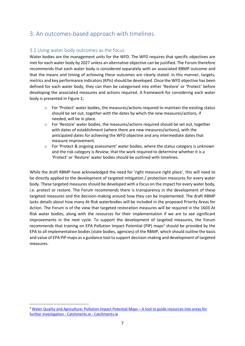# <span id="page-7-0"></span>3. An outcomes-based approach with timelines.

# <span id="page-7-1"></span>3.1 Using water body outcomes as the focus

Water bodies are the management units for the WFD. The WFD requires that specific objectives are met for each water body by 2027 unless an alternative objective can be justified. The Forum therefore recommends that each water body is considered separately with an associated RBMP outcome and that the means and timing of achieving these outcomes are clearly stated. In this manner, targets, metrics and key performance indicators (KPIs) should be developed. Once the WFD objective has been defined for each water body, they can then be categorised into either 'Restore' or 'Protect' before developing the associated measures and actions required. A framework for considering each water body is presented in Figure 1;

- $\circ$  For 'Protect' water bodies, the measures/actions required to maintain the existing status should be set out, together with the dates by which the new measures/actions, if needed, will be in place.
- $\circ$  For 'Restore' water bodies, the measures/actions required should be set out, together with dates of establishment (where there are new measures/actions), with the anticipated dates for achieving the WFD objective and any intermediate dates that measure improvement.
- $\circ$  For 'Protect & ongoing assessment' water bodies, where the status category is unknown and the risk category is *Review*, that the work required to determine whether it is a 'Protect' or 'Restore' water bodies should be outlined with timelines.

While the draft RBMP have acknowledged the need for 'right measure right place', this will need to be directly applied to the development of targeted mitigation / protection measures for every water body. These targeted measures should be developed with a focus on the impact for every water body, i.e. protect or restore. The Forum recommends there is transparency in the development of these targeted measures and the decision-making around how they can be implemented. The draft RBMP lacks details about how many At Risk waterbodies will be included in the proposed Priority Areas for Action. The Forum is of the view that targeted restoration measures will be required in the 1603 At Risk water bodies, along with the resources for their implementation if we are to see significant improvements in the next cycle. To support the development of targeted measures, the Forum recommends that training on EPA Pollution Impact Potential (PIP) maps<sup>3</sup> should be provided by the EPA to all implementation bodies (state bodies, agencies) of the RBMP, which should outline the basis and value of EPA PIP maps as a guidance tool to support decision-making and development of targeted measures.

<sup>3</sup> [Water Quality and Agriculture: Pollution Impact Potential Maps](https://www.catchments.ie/water-quality-agriculture-pollution-impact-potential-maps-tool-guide-resources-areas-investigation/) – A tool to guide resources into areas for [further investigation -](https://www.catchments.ie/water-quality-agriculture-pollution-impact-potential-maps-tool-guide-resources-areas-investigation/) Catchments.ie - Catchments.ie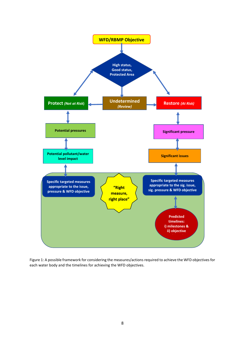

Figure 1: A possible framework for considering the measures/actions required to achieve the WFD objectives for each water body and the timelines for achieving the WFD objectives.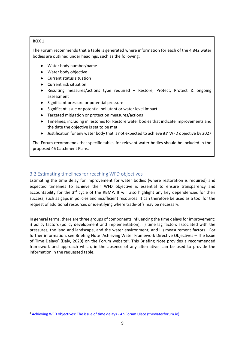# **BOX 1**

The Forum recommends that a table is generated where information for each of the 4,842 water bodies are outlined under headings, such as the following:

- Water body number/name
- Water body objective
- Current status situation
- Current risk situation
- Resulting measures/actions type required Restore, Protect, Protect & ongoing assessment
- ◆ Significant pressure or potential pressure
- ◆ Significant issue or potential pollutant or water level impact
- Targeted mitigation or protection measures/actions
- Timelines, including milestones for Restore water bodies that indicate improvements and the date the objective is set to be met
- Justification for any water body that is not expected to achieve its' WFD objective by 2027

The Forum recommends that specific tables for relevant water bodies should be included in the proposed 46 Catchment Plans.

# <span id="page-9-0"></span>3.2 Estimating timelines for reaching WFD objectives

Estimating the time delay for improvement for water bodies (where restoration is required) and expected timelines to achieve their WFD objective is essential to ensure transparency and accountability for the  $3<sup>rd</sup>$  cycle of the RBMP. It will also highlight any key dependencies for their success, such as gaps in policies and insufficient resources. It can therefore be used as a tool for the request of additional resources or identifying where trade-offs may be necessary.

In general terms, there are three groups of components influencing the time delays for improvement: i) policy factors (policy development and implementation); ii) time lag factors associated with the pressures, the land and landscape, and the water environment; and iii) measurement factors. For further information, see Briefing Note 'Achieving Water Framework Directive Objectives – The Issue of Time Delays' (Daly, 2020) on the Forum website<sup>4</sup>. This Briefing Note provides a recommended framework and approach which, in the absence of any alternative, can be used to provide the information in the requested table.

<sup>&</sup>lt;sup>4</sup> [Achieving WFD objectives: The issue of time delays -](https://thewaterforum.ie/achieving-wfd-objectives-the-issue-of-time-delays/) An Foram Uisce (thewaterforum.ie)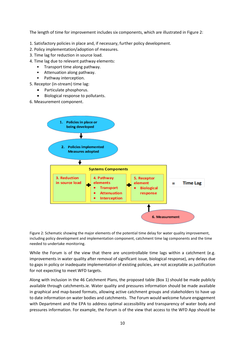The length of time for improvement includes six components, which are illustrated in Figure 2:

- 1. Satisfactory policies in place and, if necessary, further policy development.
- 2. Policy implementation/adoption of measures.
- 3. Time lag for reduction in source load.
- 4. Time lag due to relevant pathway elements:
	- Transport time along pathway.
	- Attenuation along pathway.
	- Pathway interception.
- 5. Receptor (in-stream) time lag:
	- Particulate phosphorus.
	- Biological response to pollutants.
- 6. Measurement component.



Figure 2: Schematic showing the major elements of the potential time delay for water quality improvement, including policy development and implementation component, catchment time lag components and the time needed to undertake monitoring.

While the Forum is of the view that there are uncontrollable time lags within a catchment (e.g. improvements in water quality after removal of significant issue, biological response), any delays due to gaps in policy or inadequate implementation of existing policies, are not acceptable as justification for not expecting to meet WFD targets.

Along with inclusion in the 46 Catchment Plans, the proposed table (Box 1) should be made publicly available through catchments.ie. Water quality and pressures information should be made available in graphical and map-based formats, allowing active catchment groups and stakeholders to have up to date information on water bodies and catchments. The Forum would welcome future engagement with Department and the EPA to address optimal accessibility and transparency of water body and pressures information. For example, the Forum is of the view that access to the WFD App should be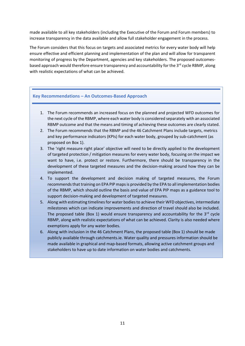made available to all key stakeholders (including the Executive of the Forum and Forum members) to increase transparency in the data available and allow full stakeholder engagement in the process.

The Forum considers that this focus on targets and associated metrics for every water body will help ensure effective and efficient planning and implementation of the plan and will allow for transparent monitoring of progress by the Department, agencies and key stakeholders. The proposed outcomesbased approach would therefore ensure transparency and accountability for the 3<sup>rd</sup> cycle RBMP, along with realistic expectations of what can be achieved.

## **Key Recommendations – An Outcomes-Based Approach**

- 1. The Forum recommends an increased focus on the planned and projected WFD outcomes for the next cycle of the RBMP, where each water body is considered separately with an associated RBMP outcome and that the means and timing of achieving these outcomes are clearly stated.
- 2. The Forum recommends that the RBMP and the 46 Catchment Plans include targets, metrics and key performance indicators (KPIs) for each water body, grouped by sub-catchment (as proposed on Box 1).
- 3. The 'right measure right place' objective will need to be directly applied to the development of targeted protection / mitigation measures for every water body, focusing on the impact we want to have, i.e. protect or restore. Furthermore, there should be transparency in the development of these targeted measures and the decision-making around how they can be implemented.
- 4. To support the development and decision making of targeted measures, the Forum recommends that training on EPA PIP maps is provided by the EPA to all implementation bodies of the RBMP, which should outline the basis and value of EPA PIP maps as a guidance tool to support decision-making and development of targeted measures.
- 5. Along with estimating timelines for water bodies to achieve their WFD objectives, intermediate milestones which can indicate improvements and direction of travel should also be included. The proposed table (Box 1) would ensure transparency and accountability for the  $3^{rd}$  cycle RBMP, along with realistic expectations of what can be achieved. Clarity is also needed where exemptions apply for any water bodies.
- 6. Along with inclusion in the 46 Catchment Plans, the proposed table (Box 1) should be made publicly available through catchments.ie. Water quality and pressures information should be made available in graphical and map-based formats, allowing active catchment groups and stakeholders to have up to date information on water bodies and catchments.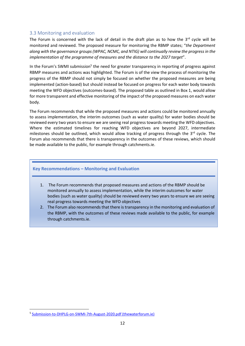# <span id="page-12-0"></span>3.3 Monitoring and evaluation

The Forum is concerned with the lack of detail in the draft plan as to how the  $3<sup>rd</sup>$  cycle will be monitored and reviewed. The proposed measure for monitoring the RBMP states; "*the Department along with the governance groups (WPAC, NCMC, and NTIG) will continually review the progress in the implementation of the programme of measures and the distance to the 2027 target*".

In the Forum's SWMI submission<sup>5</sup> the need for greater transparency in reporting of progress against RBMP measures and actions was highlighted. The Forum is of the view the process of monitoring the progress of the RBMP should not simply be focused on whether the proposed measures are being implemented (action-based) but should instead be focused on progress for each water body towards meeting the WFD objectives (outcomes-based). The proposed table as outlined in Box 1, would allow for more transparent and effective monitoring of the impact of the proposed measures on each water body.

The Forum recommends that while the proposed measures and actions could be monitored annually to assess implementation, the interim outcomes (such as water quality) for water bodies should be reviewed every two years to ensure we are seeing real progress towards meeting the WFD objectives. Where the estimated timelines for reaching WFD objectives are beyond 2027, intermediate milestones should be outlined, which would allow tracking of progress through the  $3<sup>rd</sup>$  cycle. The Forum also recommends that there is transparency in the outcomes of these reviews, which should be made available to the public, for example through catchments.ie.

#### **Key Recommendations – Monitoring and Evaluation**

- 1. The Forum recommends that proposed measures and actions of the RBMP should be monitored annually to assess implementation, while the interim outcomes for water bodies (such as water quality) should be reviewed every two years to ensure we are seeing real progress towards meeting the WFD objectives
- 2. The Forum also recommends that there is transparency in the monitoring and evaluation of the RBMP, with the outcomes of these reviews made available to the public, for example through catchments.ie.

<sup>&</sup>lt;sup>5</sup> [Submission-to-DHPLG-on-SWMI-7th-August-2020.pdf \(thewaterforum.ie\)](https://thewaterforum.ie/app/uploads/2020/08/Submission-to-DHPLG-on-SWMI-7th-August-2020.pdf)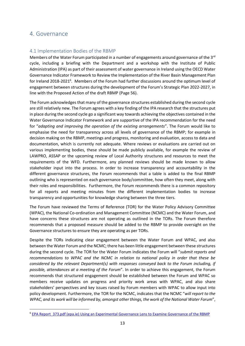# <span id="page-13-0"></span>4. Governance

# <span id="page-13-1"></span>4.1 Implementation Bodies of the RBMP

Members of the Water Forum participated in a number of engagements around governance of the  $3<sup>rd</sup>$ cycle, including a briefing with the Department and a workshop with the Institute of Public Administration (IPA) as part of their assessment of water governance in Ireland using the OECD Water Governance Indicator Framework to Review the Implementation of the River Basin Management Plan for Ireland 2018-2021<sup>6</sup>. Members of the Forum had further discussions around the optimum level of engagement between structures during the development of the Forum's Strategic Plan 2022-2027, in line with the Proposed Action of the draft RBMP (Page 56).

The Forum acknowledges that many of the governance structures established during the second cycle are still relatively new. The Forum agrees with a key finding of the IPA research that the structures put in place during the second cycle go a significant way towards achieving the objectives contained in the Water Governance Indicator Framework and are supportive of the IPA recommendation for the need for "*adapting and improving the operation of the existing arrangements*". The Forum would like to emphasise the need for transparency across all levels of governance of the RBMP; for example in decision making on the RBMP, meetings and progress, monitoring and evaluation, access to data and documentation, which is currently not adequate. Where reviews or evaluations are carried out on various implementing bodies, these should be made publicly available, for example the review of LAWPRO, ASSAP or the upcoming review of Local Authority structures and resources to meet the requirements of the WFD. Furthermore, any planned reviews should be made known to allow stakeholder input into the process. In order to increase transparency and accountability in the different governance structures, the Forum recommends that a table is added to the final RBMP outlining who is represented on each governance body/committee, how often they meet, along with their roles and responsibilities. Furthermore, the Forum recommends there is a common repository for all reports and meeting minutes from the different implementation bodies to increase transparency and opportunities for knowledge sharing between the three tiers.

The Forum have reviewed the Terms of Reference (TOR) for the Water Policy Advisory Committee (WPAC), the National Co-ordination and Management Committee (NCMC) and the Water Forum, and have concerns these structures are not operating as outlined in the TORs. The Forum therefore recommends that a proposed measure should be added to the RBMP to provide oversight on the Governance structures to ensure they are operating as per TORs.

Despite the TORs indicating clear engagement between the Water Forum and WPAC, and also between the Water Forum and the NCMC; there has been little engagement between these structures during the second cycle. The TOR for the Water Forum indicates the Forum will "*submit reports and recommendations to WPAC and the NCMC in relation to national policy in order that these be considered by the relevant Department(s) with responses conveyed back to the Forum including, if possible, attendances at a meeting of the Forum*". In order to achieve this engagement, the Forum recommends that structured engagement should be established between the Forum and WPAC so members receive updates on progress and priority work areas with WPAC, and also share stakeholders' perspectives and key issues raised by Forum members with WPAC to allow input into policy development. Furthermore, the TOR for the NCMC, indicates that the NCMC "*will report to the WPAC, and its work will be informed by, amongst other things, the work of the National Water Forum*",

<sup>&</sup>lt;sup>6</sup> EPA Report 373.pdf (epa.ie) Using an [Experimental Governance Lens to Examine Governance of the RBMP](https://www.epa.ie/publications/research/water/Research_Report_373.pdf)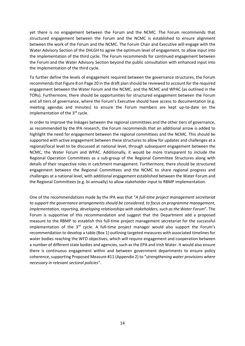yet there is no engagement between the Forum and the NCMC. The Forum recommends that structured engagement between the Forum and the NCMC is established to ensure alignment between the work of the Forum and the NCMC. The Forum Chair and Executive will engage with the Water Advisory Section of the DHLGH to agree the optimum level of engagement, to allow input into the implementation of the third cycle. The Forum recommends for continued engagement between the Forum and the Water Advisory Section beyond the public consultation with enhanced input into the implementation of the third cycle.

To further define the levels of engagement required between the governance structures, the Forum recommendsthat Figure 8 on Page 20 in the draft plan should be reviewed to account for the required engagement between the Water Forum and the NCMC, and the NCMC and WPAC (as outlined in the TORs). Furthermore, there should be opportunities for structured engagement between the Forum and all tiers of governance, where the Forum's Executive should have access to documentation (e.g. meeting agendas and minutes) to ensure the Forum members are kept up-to-date on the implementation of the  $3<sup>rd</sup>$  cycle.

In order to improve the linkages between the regional committees and the other tiers of governance, as recommended by the IPA research, the Forum recommends that an additional arrow is added to highlight the need for engagement between the regional committees and the NCMC. This should be supported with active engagement between these structures to allow for updates and challenges at a regional/local level to be discussed at national level, through subsequent engagement between the NCMC, the Water Forum and WPAC. Additionally, it would be more transparent to include the Regional Operation Committees as a sub-group of the Regional Committee Structures along with details of their respective roles in catchment management. Furthermore, there should be structured engagement between the Regional Committees and the NCMC to share regional progress and challenges at a national level, with additional engagement established between the Water Forum and the Regional Committees (e.g. bi-annually) to allow stakeholder input to RBMP implementation.

One of the recommendations made by the IPA was that "*A full-time project management secretariat to support the governance arrangements should be considered, to focus on programme management, implementation, reporting, developing relationships with stakeholders, such as the Water Forum*". The Forum is supportive of this recommendation and suggest that the Department add a proposed measure to the RBMP to establish this full-time project management secretariat for the successful implementation of the  $3<sup>rd</sup>$  cycle. A full-time project manager would also support the Forum's recommendation to develop a table (Box 1) outlining targeted measures with associated timelines for water bodies reaching the WFD objectives, which will require engagement and cooperation between a number of different state bodies and agencies, such as the EPA and Irish Water. It would also ensure there is continuous engagement within and between government departments to ensure policy coherence, supporting Proposed Measure #11 (Appendix 2) to "*strengthening water provisions where necessary in relevant sectoral policies*".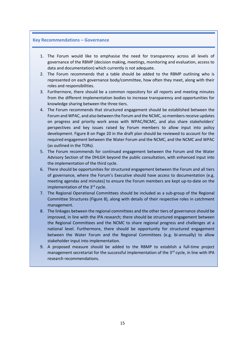#### **Key Recommendations – Governance**

- 1. The Forum would like to emphasise the need for transparency across all levels of governance of the RBMP (decision making, meetings, monitoring and evaluation, access to data and documentation) which currently is not adequate.
- 2. The Forum recommends that a table should be added to the RBMP outlining who is represented on each governance body/committee, how often they meet, along with their roles and responsibilities.
- 3. Furthermore, there should be a common repository for all reports and meeting minutes from the different implementation bodies to increase transparency and opportunities for knowledge sharing between the three tiers.
- 4. The Forum recommends that structured engagement should be established between the Forum and WPAC, and also between the Forum and the NCMC, so members receive updates on progress and priority work areas with WPAC/NCMC, and also share stakeholders' perspectives and key issues raised by Forum members to allow input into policy development. Figure 8 on Page 20 in the draft plan should be reviewed to account for the required engagement between the Water Forum and the NCMC, and the NCMC and WPAC (as outlined in the TORs).
- 5. The Forum recommends for continued engagement between the Forum and the Water Advisory Section of the DHLGH beyond the public consultation, with enhanced input into the implementation of the third cycle.
- 6. There should be opportunities for structured engagement between the Forum and all tiers of governance, where the Forum's Executive should have access to documentation (e.g. meeting agendas and minutes) to ensure the Forum members are kept up-to-date on the implementation of the 3<sup>rd</sup> cycle.
- 7. The Regional Operational Committees should be included as a sub-group of the Regional Committee Structures (Figure 8), along with details of their respective roles in catchment management.
- 8. The linkages between the regional committees and the other tiers of governance should be improved, in line with the IPA research; there should be structured engagement between the Regional Committees and the NCMC to share regional progress and challenges at a national level. Furthermore, there should be opportunity for structured engagement between the Water Forum and the Regional Committees (e.g. bi-annually) to allow stakeholder input into implementation.
- 9. A proposed measure should be added to the RBMP to establish a full-time project management secretariat for the successful implementation of the  $3<sup>rd</sup>$  cycle, in line with IPA research recommendations.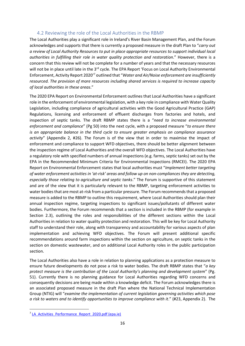# 4.2 Reviewing the role of the Local Authorities in the RBMP

<span id="page-16-0"></span>The Local Authorities play a significant role in Ireland's River Basin Management Plan, and the Forum acknowledges and supports that there is currently a proposed measure in the draft Plan to "*carry out a review of Local Authority Resources to put in place appropriate resources to support individual local authorities in fulfilling their role in water quality protection and restoration*." However, there is a concern that this review will not be complete for a number of years and that the necessary resources will not be in place until late in the 3<sup>rd</sup> cycle. The EPA Report 'Focus on Local Authority Environmental Enforcement, Activity Report 2020' <sup>7</sup> outlined that "*Water and Air/Noise enforcement are insufficiently resourced. The provision of more resources including shared services is required to increase capacity of local authorities in these areas*."

The 2020 EPA Report on Environmental Enforcement outlines that Local Authorities have a significant role in the enforcement of environmental legislation, with a key role in compliance with Water Quality Legislation, including compliance of agricultural activities with the Good Agricultural Practice (GAP) Regulations, licensing and enforcement of effluent discharges from factories and hotels, and inspection of septic tanks. The draft RBMP states there is a "*need to increase environmental enforcement and compliance*" (Pg 50) into the next cycle, with a proposed measure "*to ensure there is an appropriate balance in the third cycle to ensure greater emphasis on compliance assurance activity*" (Appendix 2, #26). The Forum is of the view that in order to maximise the impact of enforcement and compliance to support WFD objectives, there should be better alignment between the inspection regime of Local Authorities and the overall WFD objectives. The Local Authorities have a regulatory role with specified numbers of annual inspections (e.g. farms, septic tanks) set out by the EPA in the Recommended Minimum Criteria for Environmental Inspections (RMCEI). The 2020 EPA Report on Environmental Enforcement states that local authorities must "*Implement better targeting of water enforcement activities in 'at-risk' areas and follow up on non-compliances they are detecting, especially those relating to agriculture and septic tanks*." The Forum is supportive of this statement and are of the view that it is particularly relevant to the RBMP, targeting enforcement activities to water bodies that are most at-risk from a particular pressure. The Forum recommends that a proposed measure is added to the RBMP to outline this requirement, where Local Authorities should plan their annual inspection regime, targeting inspections to significant issues/pollutants of different water bodies. Furthermore, the Forum recommends that a section is included in the RBMP (for example in Section 2.3), outlining the roles and responsibilities of the different sections within the Local Authorities in relation to water quality protection and restoration. This will be key for Local Authority staff to understand their role, along with transparency and accountability for various aspects of plan implementation and achieving WFD objectives. The Forum will present additional specific recommendations around farm inspections within the section on agriculture, on septic tanks in the section on domestic wastewater, and on additional Local Authority roles in the public participation section.

The Local Authorities also have a role in relation to planning applications as a protection measure to ensure future developments do not pose a risk to water bodies. The draft RBMP states that "*a key protect measure is the contribution of the Local Authority's planning and development system*" (Pg. 51). Currently there is no planning guidance for Local Authorities regarding WFD concerns and consequently decisions are being made within a knowledge deficit. The Forum acknowledges there is an associated proposed measure in the draft Plan where the National Technical Implementation Group (NTIG) will "*examine the implementation of current legislation governing activities which pose a risk to waters and to identify opportunities to improve compliance with it*." (#23, Appendix 2). The

<sup>&</sup>lt;sup>7</sup> LA Activities Performance Report 2020.pdf (epa.ie)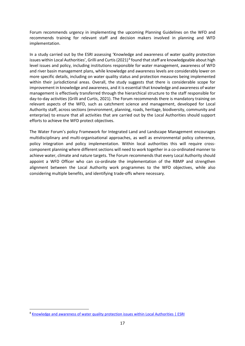Forum recommends urgency in implementing the upcoming Planning Guidelines on the WFD and recommends training for relevant staff and decision makers involved in planning and WFD implementation.

In a study carried out by the ESRI assessing 'Knowledge and awareness of water quality protection issues within Local Authorities', Grilli and Curtis (2021)<sup>8</sup> found that staff are knowledgeable about high level issues and policy, including institutions responsible for water management, awareness of WFD and river basin management plans, while knowledge and awareness levels are considerably lower on more specific details, including on water quality status and protection measures being implemented within their jurisdictional areas. Overall, the study suggests that there is considerable scope for improvement in knowledge and awareness, and it is essential that knowledge and awareness of water management is effectively transferred through the hierarchical structure to the staff responsible for day-to-day activities (Grilli and Curtis, 2021). The Forum recommends there is mandatory training on relevant aspects of the WFD, such as catchment science and management, developed for Local Authority staff, across sections (environment, planning, roads, heritage, biodiversity, community and enterprise) to ensure that all activities that are carried out by the Local Authorities should support efforts to achieve the WFD protect objectives.

The Water Forum's policy Framework for Integrated Land and Landscape Management encourages multidisciplinary and multi-organisational approaches, as well as environmental policy coherence, policy integration and policy implementation. Within local authorities this will require crosscomponent planning where different sections will need to work together in a co-ordinated manner to achieve water, climate and nature targets. The Forum recommends that every Local Authority should appoint a WFD Officer who can co-ordinate the implementation of the RBMP and strengthen alignment between the Local Authority work programmes to the WFD objectives, while also considering multiple benefits, and identifying trade-offs where necessary.

<sup>8</sup> [Knowledge and awareness of water quality protection issues within Local Authorities](https://www.esri.ie/publications/knowledge-and-awareness-of-water-quality-protection-issues-within-local-authorities) | ESRI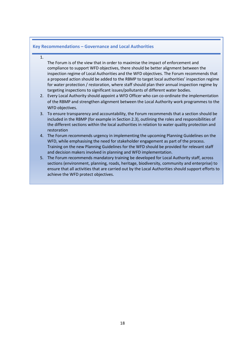#### **Key Recommendations – Governance and Local Authorities**

#### 1.

The Forum is of the view that in order to maximise the impact of enforcement and compliance to support WFD objectives, there should be better alignment between the inspection regime of Local Authorities and the WFD objectives. The Forum recommends that a proposed action should be added to the RBMP to target local authorities' inspection regime for water protection / restoration, where staff should plan their annual inspection regime by targeting inspections to significant issues/pollutants of different water bodies.

- 2. Every Local Authority should appoint a WFD Officer who can co-ordinate the implementation of the RBMP and strengthen alignment between the Local Authority work programmes to the WFD objectives.
- 3. To ensure transparency and accountability, the Forum recommends that a section should be included in the RBMP (for example in Section 2.3), outlining the roles and responsibilities of the different sections within the local authorities in relation to water quality protection and restoration
- 4. The Forum recommends urgency in implementing the upcoming Planning Guidelines on the WFD, while emphasising the need for stakeholder engagement as part of the process. Training on the new Planning Guidelines for the WFD should be provided for relevant staff and decision makers involved in planning and WFD implementation.
- 5. The Forum recommends mandatory training be developed for Local Authority staff, across sections (environment, planning, roads, heritage, biodiversity, community and enterprise) to ensure that all activities that are carried out by the Local Authorities should support efforts to achieve the WFD protect objectives.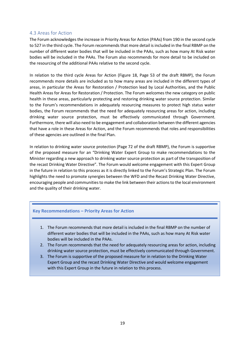## <span id="page-19-0"></span>4.3 Areas for Action

The Forum acknowledges the increase in Priority Areas for Action (PAAs) from 190 in the second cycle to 527 in the third cycle. The Forum recommends that more detail is included in the final RBMP on the number of different water bodies that will be included in the PAAs, such as how many At Risk water bodies will be included in the PAAs. The Forum also recommends for more detail to be included on the resourcing of the additional PAAs relative to the second cycle.

In relation to the third cycle Areas for Action (Figure 18, Page 53 of the draft RBMP), the Forum recommends more details are included as to how many areas are included in the different types of areas, in particular the Areas for Restoration / Protection lead by Local Authorities, and the Public Health Areas for Areas for Restoration / Protection. The Forum welcomes the new category on public health in these areas, particularly protecting and restoring drinking water source protection. Similar to the Forum's recommendations in adequately resourcing measures to protect high status water bodies, the Forum recommends that the need for adequately resourcing areas for action, including drinking water source protection, must be effectively communicated through Government. Furthermore, there will also need to be engagement and collaboration between the different agencies that have a role in these Areas for Action, and the Forum recommends that roles and responsibilities of these agencies are outlined in the final Plan.

In relation to drinking water source protection (Page 72 of the draft RBMP), the Forum is supportive of the proposed measure for an "Drinking Water Expert Group to make recommendations to the Minister regarding a new approach to drinking water source protection as part of the transposition of the recast Drinking Water Directive". The Forum would welcome engagement with this Expert Group in the future in relation to this process as it is directly linked to the Forum's Strategic Plan. The Forum highlights the need to promote synergies between the WFD and the Recast Drinking Water Directive, encouraging people and communities to make the link between their actions to the local environment and the quality of their drinking water.

#### **Key Recommendations – Priority Areas for Action**

- 1. The Forum recommends that more detail is included in the final RBMP on the number of different water bodies that will be included in the PAAs, such as how many At Risk water bodies will be included in the PAAs.
- 2. The Forum recommends that the need for adequately resourcing areas for action, including drinking water source protection, must be effectively communicated through Government.
- 3. The Forum is supportive of the proposed measure for in relation to the Drinking Water Expert Group and the recast Drinking Water Directive and would welcome engagement with this Expert Group in the future in relation to this process.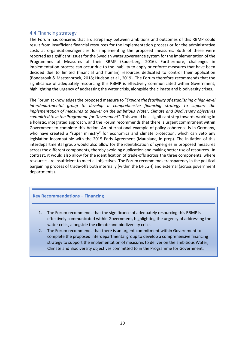#### <span id="page-20-0"></span>4.4 Financing strategy

The Forum has concerns that a discrepancy between ambitions and outcomes of this RBMP could result from insufficient financial resources for the implementation process or for the administrative costs at organisations/agencies for implementing the proposed measures. Both of these were reported as significant issues for the Swedish water governance system for the implementation of the Programmes of Measures of their RBMP (Soderberg, 2016). Furthermore, challenges in implementation process can occur due to the inability to apply or enforce measures that have been decided due to limited (financial and human) resources dedicated to control their application (Bondarouk & Mastenbroek, 2018; Hudson et al., 2019). The Forum therefore recommends that the significance of adequately resourcing this RBMP is effectively communicated within Government, highlighting the urgency of addressing the water crisis, alongside the climate and biodiversity crises.

The Forum acknowledges the proposed measure to "*Explore the feasibility of establishing a high-level interdepartmental group to develop a comprehensive financing strategy to support the implementation of measures to deliver on the ambitious Water, Climate and Biodiversity objectives committed to in the Programme for Government*". This would be a significant step towards working in a holistic, integrated approach, and the Forum recommends that there is urgent commitment within Government to complete this Action. An international example of policy coherence is in Germany, who have created a "super ministry" for economics and climate protection, which can veto any legislation incompatible with the 2015 Paris Agreement (Maublanc, in prep). The initiation of this interdepartmental group would also allow for the identification of synergies in proposed measures across the different components, thereby avoiding duplication and making better use of resources. In contrast, it would also allow for the identification of trade-offs across the three components, where resources are insufficient to meet all objectives. The Forum recommends transparency in the political bargaining process of trade-offs both internally (within the DHLGH) and external (across government departments).

## **Key Recommendations – Financing**

- 1. The Forum recommends that the significance of adequately resourcing this RBMP is effectively communicated within Government, highlighting the urgency of addressing the water crisis, alongside the climate and biodiversity crises.
- 2. The Forum recommends that there is an urgent commitment within Government to complete the proposed interdepartmental group to develop a comprehensive financing strategy to support the implementation of measures to deliver on the ambitious Water, Climate and Biodiversity objectives committed to in the Programme for Government.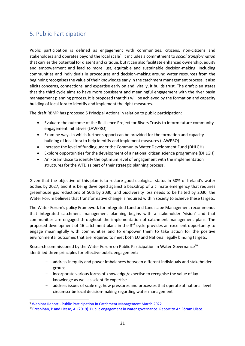# <span id="page-21-0"></span>5. Public Participation

Public participation is defined as engagement with communities, citizens, non-citizens and stakeholders and operates beyond the local scale<sup>9</sup>. It includes a commitment to *social transformation* that carries the potential for dissent and critique, but it can also facilitate enhanced ownership, equity and empowerment and lead to more just, equitable and sustainable decision-making. Including communities and individuals in procedures and decision-making around water resources from the beginning recognises the value of their knowledge early in the catchment management process. It also elicits concerns, connections, and expertise early on and, vitally, it builds trust. The draft plan states that the third cycle aims to have more consistent and meaningful engagement with the river basin management planning process. It is proposed that this will be achieved by the formation and capacity building of local fora to identify and implement the right measures.

The draft RBMP has proposed 5 Principal Actions in relation to public participation:

- Evaluate the outcome of the Resilience Project for Rivers Trusts to inform future community engagement initiatives (LAWPRO)
- Examine ways in which further support can be provided for the formation and capacity building of local fora to help identify and implement measures (LAWPRO)
- Increase the level of funding under the Community Water Development Fund (DHLGH)
- Explore opportunities for the development of a national citizen science programme (DHLGH)
- An Fóram Uisce to identify the optimum level of engagement with the implementation structures for the WFD as part of their strategic planning process.

Given that the objective of this plan is to restore good ecological status in 50% of Ireland's water bodies by 2027, and it is being developed against a backdrop of a climate emergency that requires greenhouse gas reductions of 50% by 2030, and biodiversity loss needs to be halted by 2030, the Water Forum believes that transformative change is required within society to achieve these targets.

The Water Forum's policy Framework for Integrated Land and Landscape Management recommends that integrated catchment management planning begins with a stakeholder 'vision' and that communities are engaged throughout the implementation of catchment management plans. The proposed development of 46 catchment plans in the 3<sup>rd</sup> cycle provides an excellent opportunity to engage meaningfully with communities and to empower them to take action for the positive environmental outcomes that are required to meet both EU and National legally binding targets.

Research commissioned by the Water Forum on Public Participation in Water Governance<sup>10</sup> identified three principles for effective public engagement:

- − address inequity and power imbalances between different individuals and stakeholder groups
- − incorporate various forms of knowledge/expertise to recognise the value of lay knowledge as well as scientific expertise
- − address issues of scale e.g. how pressures and processes that operate at national level circumscribe local decision-making regarding water management

<sup>9</sup> Webinar Report - Public Participation [in Catchment Management March](https://www.thewaterforum.ie/app/uploads/2022/03/Webinar-Report-Public-Participation-in-Catchment-Management-March-2022.pdf) 2022

<sup>&</sup>lt;sup>10</sup>[Bresnihan, P and Hesse, A. \(2019\). Public engagement in water governance. Report to An Fóram Uisce.](https://thewaterforum.ie/app/uploads/2020/03/Water-Forum_Public-Participation_Bresnihan-and-Hesse_2019.pdf)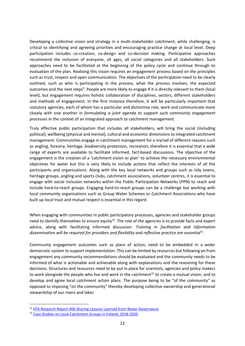Developing a collective vision and strategy in a multi-stakeholder catchment, while challenging, is critical to identifying and agreeing priorities and encouraging practice change at local level. Deep participation includes co-creation, co-design and co-decision making. Participative approaches recommend the inclusion of everyone, all ages, all social categories and all stakeholders. Such approaches need to be facilitated at the beginning of the policy cycle and continue through to evaluation of the plan. Realising this vision requires an engagement process based on the principles such as trust, respect and open communication. The objectives of the participation need to be clearly outlined, such as who is participating in the process, what the process involves, the expected outcomes and the next steps<sup>9</sup>. People are more likely to engage if it is directly relevant to them (local level), but engagement requires holistic collaboration of disciplines, sectors, different stakeholders and methods of engagement. In the first instance therefore, it will be particularly important that statutory agencies, each of whom has a particular and distinctive role, work and communicate more closely with one another in *formulating a joint agenda to support such community engagement processes in* the context of an integrated approach to catchment management.

Truly effective public participation that includes all stakeholders, will bring the social (including political), wellbeing (physical and mental), cultural and economic dimensions to integrated catchment management. Communities engage in catchment management for a myriad of different reasons such as angling, forestry, heritage, biodiversity protection, recreation, therefore it is essential that a wide range of experts are available to facilitate informed, fact-based discussions. The objective of the engagement is the creation of a 'catchment vision or plan' to achieve the necessary environmental objectives for water but this is very likely to include actions that reflect the interests of all the participants and organisations. Along with the key local networks and groups such as tidy towns, heritage groups, angling and sports clubs, catchment associations, volunteer centres, it is essential to engage with social inclusion networks within the Public Participation Networks (PPN) to reach and include hard-to-reach groups. Engaging hard-to-reach groups can be a challenge but working with local community organisations such as Group Water Schemes or Catchment Associations who have built up local trust and mutual respect is essential in this regard.

When engaging with communities in public participatory processes, agencies and stakeholder groups need to identify themselves to ensure equity<sup>10</sup>. The role of the agencies is to provide facts and expert advice, along with facilitating informed discussion. *Training in facilitation and information dissemination will be required for providers and flexibility and reflective practice are essential<sup>11</sup> .*

Community engagement outcomes such as plans of action, need to be embedded in a wider democratic system to support implementation. This can be limited by resources but following on from engagement any community recommendations should be evaluated and the community needs to be informed of what is actionable and achievable along with explanations and the reasoning for these decisions. Structures and resources need to be put in place for scientists, agencies and policy makers to work alongside the people who live and work in the catchment<sup>12</sup> to create a mutual vision, and to develop and agree local catchment action plans. The purpose being to be "of the community" as opposed to imposing "on the community" thereby developing collective ownership and generational stewardship of our rivers and lakes

<sup>&</sup>lt;sup>11</sup> [EPA Research Report 406 Sharing Lessons Learned from Water Governance](https://www.epa.ie/publications/research/water/Research_Report_406.pdf)

<sup>12</sup> [Case Studies on Local Catchment Groups](https://irishriverprojectwater.files.wordpress.com/2022/03/local_catchment_groups_in_ireland_may2021.pdf) in Ireland, 2018-2020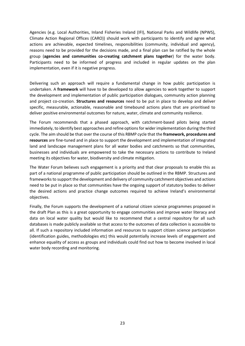Agencies (e.g. Local Authorities, Inland Fisheries Ireland (IFI), National Parks and Wildlife (NPWS), Climate Action Regional Offices (CARO)) should work with participants to identify and agree what actions are achievable, expected timelines, responsibilities (community, individual and agency), reasons need to be provided for the decisions made, and a final plan can be ratified by the whole group (**agencies and communities co-creating catchment plans together**) for the water body. Participants need to be informed of progress and included in regular updates on the plan implementation, even if it is negative progress.

Delivering such an approach will require a fundamental change in how public participation is undertaken. A **framework** will have to be developed to allow agencies to work together to support the development and implementation of public participation dialogues, community action planning and project co-creation. **Structures and resources** need to be put in place to develop and deliver specific, measurable, actionable, reasonable and timebound actions plans that are prioritised to deliver positive environmental outcomes for nature, water, climate and community resilience.

The Forum recommends that a phased approach, with catchment-based pilots being started immediately, to identify best approaches and refine options for wider implementation during the third cycle. The aim should be that over the course of this RBMP cycle that the **framework, procedures and resources** are fine-tuned and in place to support the development and implementation of integrated land and landscape management plans for all water bodies and catchments so that communities, businesses and individuals are empowered to take the necessary actions to contribute to Ireland meeting its objectives for water, biodiversity and climate mitigation.

The Water Forum believes such engagement is a priority and that clear proposals to enable this as part of a national programme of public participation should be outlined in the RBMP. Structures and frameworks to support the development and delivery of community catchment objectives and actions need to be put in place so that communities have the ongoing support of statutory bodies to deliver the desired actions and practice change outcomes required to achieve Ireland's environmental objectives.

Finally, the Forum supports the development of a national citizen science programmes proposed in the draft Plan as this is a great opportunity to engage communities and improve water literacy and data on local water quality but would like to recommend that a central repository for all such databases is made publicly available so that access to the outcomes of data collection is accessible to all. If such a repository included information and resources to support citizen science participation (identification guides, methodologies etc) this would potentially increase levels of engagement and enhance equality of access as groups and individuals could find out how to become involved in local water body recording and monitoring.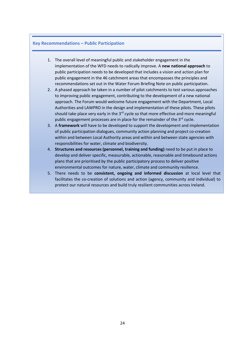#### **Key Recommendations – Public Participation**

- 1. The overall level of meaningful public and stakeholder engagement in the implementation of the WFD needs to radically improve. A **new national approach** to public participation needs to be developed that includes a vision and action plan for public engagement in the 46 catchment areas that encompasses the principles and recommendations set out in the Water Forum Briefing Note on public participation.
- 2. A phased approach be taken in a number of pilot catchments to test various approaches to improving public engagement, contributing to the development of a new national approach. The Forum would welcome future engagement with the Department, Local Authorities and LAWPRO in the design and implementation of these pilots. These pilots should take place very early in the  $3<sup>rd</sup>$  cycle so that more effective and more meaningful public engagement processes are in place for the remainder of the 3<sup>rd</sup> cycle.
- 3. A **framework** will have to be developed to support the development and implementation of public participation dialogues, community action planning and project co-creation within and between Local Authority areas and within and between state agencies with responsibilities for water, climate and biodiversity.
- 4. **Structures and resources (personnel, training and funding)** need to be put in place to develop and deliver specific, measurable, actionable, reasonable and timebound actions plans that are prioritised by the public participatory process to deliver positive environmental outcomes for nature, water, climate and community resilience.
- 5. There needs to be **consistent, ongoing and informed discussion** at local level that facilitates the co-creation of solutions and action (agency, community and individual) to protect our natural resources and build truly resilient communities across Ireland.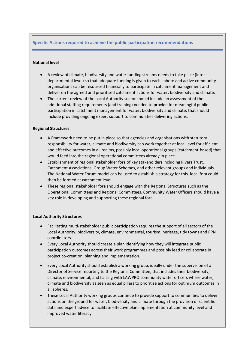## **Specific Actions required to achieve the public participation recommendations**

#### **National level**

- A review of climate, biodiversity and water funding streams needs to take place (interdepartmental level) so that adequate funding is given to each sphere and active community organisations can be resourced financially to participate in catchment management and deliver on the agreed and prioritised catchment actions for water, biodiversity and climate.
- The current review of the Local Authority sector should include an assessment of the additional staffing requirements (and training) needed to provide for meaningful public participation in catchment management for water, biodiversity and climate, that should include providing ongoing expert support to communities delivering actions.

#### **Regional Structures**

- A Framework need to be put in place so that agencies and organisations with statutory responsibility for water, climate and biodiversity can work together at local level for efficient and effective outcomes in all realms, possibly local operational groups (catchment-based) that would feed into the regional operational committees already in place.
- Establishment of regional stakeholder fora of key stakeholders including Rivers Trust, Catchment Associations, Group Water Schemes, and other relevant groups and individuals. The National Water Forum model can be used to establish a strategy for this*,* local fora could then be formed at catchment level.
- These regional stakeholder fora should engage with the Regional Structures such as the Operational Committees and Regional Committees. Community Water Officers should have a key role in developing and supporting these regional fora.

#### **Local Authority Structures**

- Facilitating multi-stakeholder public participation requires the support of all sectors of the Local Authority; biodiversity, climate, environmental, tourism, heritage, tidy towns and PPN coordinators.
- Every Local Authority should create a plan identifying how they will integrate public participation outcomes across their work programmes and possibly lead or collaborate in project co-creation, planning and implementation.
- Every Local Authority should establish a working group, ideally under the supervision of a Director of Service reporting to the Regional Committee, that includes their biodiversity, climate, environmental, and liaising with LAWPRO community water officers where water, climate and biodiversity as seen as equal pillars to prioritise actions for optimum outcomes in all spheres.
- These Local Authority working groups continue to provide support to communities to deliver actions on the ground for water, biodiversity and climate through the provision of scientific data and expert advice to facilitate effective plan implementation at community level and improved water literacy.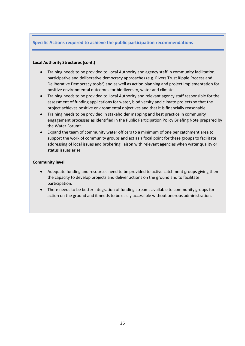# **Specific Actions required to achieve the public participation recommendations**

### **Local Authority Structures (cont.)**

- Training needs to be provided to Local Authority and agency staff in community facilitation, participative and deliberative democracy approaches (e.g. Rivers Trust Ripple Process and Deliberative Democracy tools<sup>2</sup>) and as well as action planning and project implementation for positive environmental outcomes for biodiversity, water and climate.
- Training needs to be provided to Local Authority and relevant agency staff responsible for the assessment of funding applications for water, biodiversity and climate projects so that the project achieves positive environmental objectives and that it is financially reasonable.
- Training needs to be provided in stakeholder mapping and best practice in community engagement processes as identified in the Public Participation Policy Briefing Note prepared by the Water Forum<sup>1</sup>.
- Expand the team of community water officers to a minimum of one per catchment area to support the work of community groups and act as a focal point for these groups to facilitate addressing of local issues and brokering liaison with relevant agencies when water quality or status issues arise.

#### **Community level**

- Adequate funding and resources need to be provided to active catchment groups giving them the capacity to develop projects and deliver actions on the ground and to facilitate participation.
- There needs to be better integration of funding streams available to community groups for action on the ground and it needs to be easily accessible without onerous administration.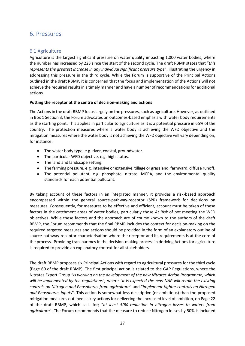# <span id="page-27-0"></span>6. Pressures

# <span id="page-27-1"></span>6.1 Agriculture

Agriculture is the largest significant pressure on water quality impacting 1,000 water bodies, where the number has increased by 223 since the start of the second cycle. The draft RBMP states that "*this represents the greatest increase in any individual significant pressure type*", illustrating the urgency in addressing this pressure in the third cycle. While the Forum is supportive of the Principal Actions outlined in the draft RBMP, it is concerned that the focus and implementation of the Actions will not achieve the required results in a timely manner and have a number of recommendations for additional actions.

## **Putting the receptor at the centre of decision-making and actions**

The Actions in the draft RBMP focus largely on the pressures, such as agriculture. However, as outlined in Box 1 Section 3, the Forum advocates an outcomes-based emphasis with water body requirements as the starting point. This applies in particular to agriculture as it is a potential pressure in 65% of the country. The protection measures where a water body is achieving the WFD objective and the mitigation measures where the water body is not achieving the WFD objective will vary depending on, for instance:

- The water body type, e.g. river, coastal, groundwater.
- The particular WFD objective, e.g. high status.
- The land and landscape setting.
- The farming pressure, e.g. intensive or extensive, tillage or grassland, farmyard, diffuse runoff.
- The potential pollutant, e.g. phosphate, nitrate, MCPA, and the environmental quality standards for each potential pollutant.

By taking account of these factors in an integrated manner, it provides a risk-based approach encompassed within the general source-pathway-receptor (SPR) framework for decisions on measures. Consequently, for measures to be effective and efficient, account must be taken of these factors in the catchment areas of water bodies, particularly those *At Risk* of not meeting the WFD objectives. While these factors and the approach are of course known to the authors of the draft RBMP, the Forum recommends that the final RBMP includes the context for decision-making on the required targeted measures and actions should be provided in the form of an explanatory outline of source-pathway-receptor characterisation where the receptor and its requirements is at the core of the process. Providing transparency in the decision-making process in deriving Actions for agriculture is required to provide an explanatory context for all stakeholders.

The draft RBMP proposes six Principal Actions with regard to agricultural pressures for the third cycle (Page 60 of the draft RBMP). The first principal action is related to the GAP Regulations, where the Nitrates Expert Group "*is working on the development of the new Nitrates Action Programme, which will be implemented by the regulations*"*,* where *"it is expected the new NAP will retain the existing controls on Nitrogen and Phosphorus from agriculture*" and "*implement tighter controls on Nitrogen and Phosphorus inputs*". This action is somewhat less descriptive (or ambitious) than the proposed mitigation measures outlined as key actions for delivering the increased level of ambition, on Page 22 of the draft RBMP, which calls for; "*at least 50% reduction in nitrogen losses to waters from agriculture*". The Forum recommends that the measure to reduce Nitrogen losses by 50% is included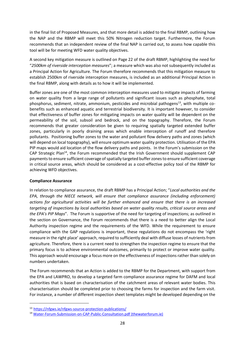in the final list of Proposed Measures, and that more detail is added to the final RBMP, outlining how the NAP and the RBMP will meet this 50% Nitrogen reduction target. Furthermore, the Forum recommends that an independent review of the final NAP is carried out, to assess how capable this tool will be for meeting WFD water quality objectives.

A second key mitigation measure is outlined on Page 22 of the draft RBMP, highlighting the need for "*2500km of riverside interception measures*"; a measure which was also not subsequently included as a Principal Action for Agriculture. The Forum therefore recommends that this mitigation measure to establish 2500km of riverside interception measures, is included as an additional Principal Action in the final RBMP, along with details as to how it will be implemented.

Buffer zones are one of the most common interception measures used to mitigate impacts of farming on water quality from a large range of pollutants and significant issues such as phosphate, total phosphorus, sediment, nitrate, ammonium, pesticides and microbial pathogens<sup>13</sup>, with multiple cobenefits such as enhanced aquatic and terrestrial biodiversity. It is important however, to consider that effectiveness of buffer zones for mitigating impacts on water quality will be dependent on the permeability of the soil, subsoil and bedrock, and on the topography. Therefore, the Forum recommends that greater consideration be given to requiring spatially targeted extended buffer zones, particularly in poorly draining areas which enable interception of runoff and therefore pollutants. Positioning buffer zones to the water and pollutant flow delivery paths and zones (which will depend on local topography), will ensure optimum water quality protection. Utilisation of the EPA PIP maps would aid location of the flow delivery paths and points. In the Forum's submission on the CAP Strategic Plan<sup>14</sup>, the Forum recommended that the Irish Government should supplement CAP payments to ensure sufficient coverage of spatially targeted buffer zones to ensure sufficient coverage in critical source areas, which should be considered as a cost-effective policy tool of the RBMP for achieving WFD objectives.

#### **Compliance Assurance**

In relation to compliance assurance, the draft RBMP has a Principal Action; "*Local authorities and the EPA, through the NIECE network, will ensure that compliance assurance (including enforcement) actions for agricultural activities will be further enhanced and ensure that there is an increased targeting of inspections by local authorities based on water quality results, critical source areas and the EPA's PIP Maps*". The Forum is supportive of the need for targeting of inspections; as outlined in the section on Governance, the Forum recommends that there is a need to better align the Local Authority inspection regime and the requirements of the WFD. While the requirement to ensure compliance with the GAP regulations is important, these regulations do not encompass the 'right measure in the right place' approach, required to sufficiently deal with diffuse losses of nutrients from agriculture. Therefore, there is a current need to strengthen the inspection regime to ensure that the primary focus is to achieve environmental outcomes, primarily to protect or improve water quality. This approach would encourage a focus more on the effectiveness of inspections rather than solely on numbers undertaken.

The Forum recommends that an Action is added to the RBMP for the Department, with support from the EPA and LAWPRO, to develop a targeted farm compliance assurance regime for DAFM and local authorities that is based on characterisation of the catchment areas of relevant water bodies. This characterisation should be completed prior to choosing the farms for inspection and the farm visit. For instance, a number of different inspection sheet templates might be developed depending on the

<sup>13</sup> <https://nfgws.ie/nfgws-source-protection-publications/>

<sup>14</sup> [Water-Forum-Submission-on-CAP-Public-Consultation.pdf \(thewaterforum.ie\)](https://thewaterforum.ie/app/uploads/2021/12/Water-Forum-Submission-on-CAP-Public-Consultation.pdf)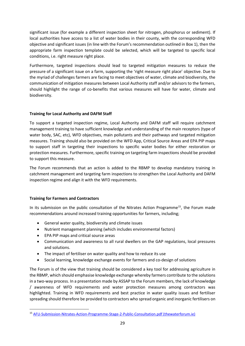significant issue (for example a different inspection sheet for nitrogen, phosphorus or sediment). If local authorities have access to a list of water bodies in their county, with the corresponding WFD objective and significant issues (in line with the Forum's recommendation outlined in Box 1), then the appropriate farm inspection template could be selected, which will be targeted to specific local conditions, i.e. right measure right place.

Furthermore, targeted inspections should lead to targeted mitigation measures to reduce the pressure of a significant issue on a farm, supporting the 'right measure right place' objective. Due to the myriad of challenges farmers are facing to meet objectives of water, climate and biodiversity, the communication of mitigation measures between Local Authority staff and/or advisors to the farmers, should highlight the range of co-benefits that various measures will have for water, climate and biodiversity.

# **Training for Local Authority and DAFM Staff**

To support a targeted inspection regime, Local Authority and DAFM staff will require catchment management training to have sufficient knowledge and understanding of the main receptors (type of water body, SAC, etc), WFD objectives, main pollutants and their pathways and targeted mitigation measures. Training should also be provided on the WFD App, Critical Source Areas and EPA PIP maps to support staff in targeting their inspections to specific water bodies for either restoration or protection measures. Furthermore, specific training on targeting farm inspections should be provided to support this measure.

The Forum recommends that an action is added to the RBMP to develop mandatory training in catchment management and targeting farm inspections to strengthen the Local Authority and DAFM inspection regime and align it with the WFD requirements.

# **Training for Farmers and Contractors**

In its submission on the public consultation of the Nitrates Action Programme<sup>15</sup>, the Forum made recommendations around increased training opportunities for farmers, including;

- General water quality, biodiversity and climate issues
- Nutrient management planning (which includes environmental factors)
- EPA PIP maps and critical source areas
- Communication and awareness to all rural dwellers on the GAP regulations, local pressures and solutions.
- The impact of fertiliser on water quality and how to reduce its use
- Social learning, knowledge exchange events for farmers and co-design of solutions

The Forum is of the view that training should be considered a key tool for addressing agriculture in the RBMP, which should emphasise knowledge exchange whereby farmers contribute to the solutions in a two-way process. In a presentation made by ASSAP to the Forum members, the lack of knowledge / awareness of WFD requirements and water protection measures among contractors was highlighted. Training in WFD requirements and best practice in water quality issues and fertiliser spreading should therefore be provided to contractors who spread organic and inorganic fertilisers on

<sup>15</sup> [AFU-Submission-Nitrates-Action-Programme-Stage-2-Public-Consultation.pdf \(thewaterforum.ie\)](https://thewaterforum.ie/app/uploads/2021/09/AFU-Submission-Nitrates-Action-Programme-Stage-2-Public-Consultation.pdf)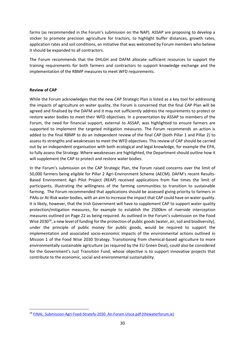farms (as recommended in the Forum's submission on the NAP). ASSAP are proposing to develop a sticker to promote precision agriculture for tractors, to highlight buffer distances, growth rates, application rates and soil conditions, an initiative that was welcomed by Forum members who believe it should be expanded to all contractors.

The Forum recommends that the DHLGH and DAFM allocate sufficient resources to support the training requirements for both farmers and contractors to support knowledge exchange and the implementation of the RBMP measures to meet WFD requirements.

#### **Review of CAP**

While the Forum acknowledges that the new CAP Strategic Plan is listed as a key tool for addressing the impacts of agriculture on water quality, the Forum is concerned that the final CAP Plan will be agreed and finalised by the DAFM and it may not sufficiently address the requirements to protect or restore water bodies to meet their WFD objectives. In a presentation by ASSAP to members of the Forum, the need for financial support, external to ASSAP, was highlighted to ensure farmers are supported to implement the targeted mitigation measures. The Forum recommends an action is added to the final RBMP to do an independent review of the final CAP (both Pillar 1 and Pillar 2) to assess its strengths and weaknesses to meet the WFD objectives. This review of CAP should be carried out by an independent organisation with both ecological and legal knowledge, for example the EPA, to fully assess the Strategy. Where weaknesses are highlighted, the Department should outline how it will supplement the CAP to protect and restore water bodies.

In the Forum's submission on the CAP Strategic Plan, the Forum raised concerns over the limit of 50,000 farmers being eligible for Pillar 2 Agri-Environment Scheme (AECM). DAFM's recent Results-Based Environment Agri Pilot Project (REAP) received applications from five times the limit of participants, illustrating the willingness of the farming communities to transition to sustainable farming. The Forum recommended that applications should be assessed giving priority to farmers in PAAs or At-Risk water bodies, with an aim to increase the impact that CAP could have on water quality. It is likely, however, that the Irish Government will have to supplement CAP to support water quality protection/mitigation measures, for example to establish the 2500km of riverside interception measures outlined on Page 22 as being required. As outlined in the Forum's submission on the Food Wise 2030<sup>16</sup>, a new level of funding for the protection of public goods (water, air, soil and biodiversity), under the principle of public money for public goods, would be required to support the implementation and associated socio-economic impacts of the environmental actions outlined in Mission 1 of the Food Wise 2030 Strategy. Transitioning from chemical-based agriculture to more environmentally sustainable agriculture (as required by the EU Green Deal), could also be considered for the Government's Just Transition Fund, whose objective is to support innovative projects that contribute to the economic, social and environmental sustainability.

<sup>&</sup>lt;sup>16</sup> FINAL Submission-Agri-Food-Stratefy-2030 An-Foram-Uisce.pdf (thewaterforum.ie)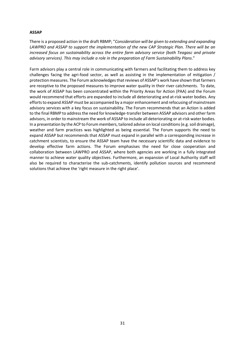#### **ASSAP**

There is a proposed action in the draft RBMP; "*Consideration will be given to extending and expanding LAWPRO and ASSAP to support the implementation of the new CAP Strategic Plan. There will be an increased focus on sustainability across the entire farm advisory service (both Teagasc and private advisory services). This may include a role in the preparation of Farm Sustainability Plans*."

Farm advisors play a central role in communicating with farmers and facilitating them to address key challenges facing the agri-food sector, as well as assisting in the implementation of mitigation / protection measures. The Forum acknowledges that reviews of ASSAP's work have shown that farmers are receptive to the proposed measures to improve water quality in their river catchments. To date, the work of ASSAP has been concentrated within the Priority Areas for Action (PAA) and the Forum would recommend that efforts are expanded to include all deteriorating and at-risk water bodies. Any efforts to expand ASSAP must be accompanied by a major enhancement and refocusing of mainstream advisory services with a key focus on sustainability. The Forum recommends that an Action is added to the final RBMP to address the need for knowledge-transfer between ASSAP advisors and other farm advisors, in order to mainstream the work of ASSAP to include all deteriorating or at-risk water bodies*.*  In a presentation by the ACP to Forum members, tailored advise on local conditions (e.g. soil drainage), weather and farm practices was highlighted as being essential. The Forum supports the need to expand ASSAP but recommends that ASSAP must expand in parallel with a corresponding increase in catchment scientists, to ensure the ASSAP team have the necessary scientific data and evidence to develop effective farm actions. The Forum emphasises the need for close cooperation and collaboration between LAWPRO and ASSAP, where both agencies are working in a fully integrated manner to achieve water quality objectives. Furthermore, an expansion of Local Authority staff will also be required to characterise the sub-catchments, identify pollution sources and recommend solutions that achieve the 'right measure in the right place'.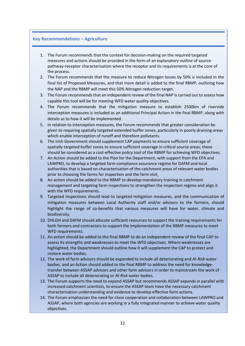#### **Key Recommendations – Agriculture**

- 1. The Forum recommends that the context for decision-making on the required targeted measures and actions should be provided in the form of an explanatory outline of sourcepathway-receptor characterisation where the receptor and its requirements is at the core of the process.
- 2. The Forum recommends that the measure to reduce Nitrogen losses by 50% is included in the final list of Proposed Measures, and that more detail is added to the final RBMP, outlining how the NAP and the RBMP will meet this 50% Nitrogen reduction target.
- 3. The Forum recommends that an independent review of the final NAP is carried out to assess how capable this tool will be for meeting WFD water quality objectives.
- 4. The Forum recommends that the mitigation measure to establish 2500km of riverside interception measures is included as an additional Principal Action in the final RBMP, along with details as to how it will be implemented.
- 5. In relation to interception measures, the Forum recommends that greater consideration be given to requiring spatially targeted extended buffer zones, particularly in poorly draining areas which enable interception of runoff and therefore pollutants.
- 6. The Irish Government should supplement CAP payments to ensure sufficient coverage of spatially targeted buffer zones to ensure sufficient coverage in critical source areas; these should be considered as a cost-effective policy tool of the RBMP for achieving WFD objectives.
- 7. An Action should be added to the Plan for the Department, with support from the EPA and LAWPRO, to develop a targeted farm compliance assurance regime for DAFM and local authorities that is based on characterisation of the catchment areas of relevant water bodies prior to choosing the farms for inspection and the farm visit.
- 8. An action should be added to the RBMP to develop mandatory training in catchment management and targeting farm inspections to strengthen the inspection regime and align it with the WFD requirements.
- 9. Targeted inspections should lead to targeted mitigation measures, and the communication of mitigation measures between Local Authority staff and/or advisors to the farmers, should highlight the range of co-benefits that various measures will have for water, climate and biodiversity.
- 10. DHLGH and DAFM should allocate sufficient resources to support the training requirements for both farmers and contractors to support the implementation of the RBMP measures to meet WFD requirements.
- 11. An action should be added to the final RBMP to do an independent review of the final CAP to assess its strengths and weaknesses to meet the WFD objectives. Where weaknesses are highlighted, the Department should outline how it will supplement the CAP to protect and restore water bodies.
- 12. The work of farm advisors should be expanded to include all deteriorating and *At Risk* water bodies, and an Action should added to the final RBMP to address the need for knowledgetransfer between ASSAP advisors and other farm advisors in order to mainstream the work of ASSAP to include all deteriorating or *At Risk* water bodies*.*
- 13. The Forum supports the need to expand ASSAP but recommends ASSAP expands in parallel with increased catchment scientists, to ensure the ASSAP team have the necessary catchment characterisation understanding and evidence to develop effective farm actions.
- 14. The Forum emphasises the need for close cooperation and collaboration between LAWPRO and ASSAP, where both agencies are working in a fully integrated manner to achieve water quality objectives.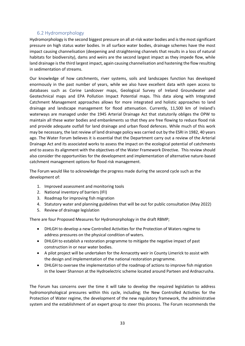# 6.2 Hydromorphology

<span id="page-33-0"></span>Hydromorphology is the second biggest pressure on all at-risk water bodies and is the most significant pressure on high status water bodies. In all surface water bodies, drainage schemes have the most impact causing channelisation (deepening and straightening channels that results in a loss of natural habitats for biodiversity), dams and weirs are the second largest impact as they impede flow, while land drainage is the third largest impact, again causing channelisation and hastening the flow resulting in sedimentation of streams.

Our knowledge of how catchments, river systems, soils and landscapes function has developed enormously in the past number of years, while we also have excellent data with open access to databases such as Corine Landcover maps, Geological Survey of Ireland Groundwater and Geotechnical maps and EPA Pollution Impact Potential maps. This data along with Integrated Catchment Management approaches allows for more integrated and holistic approaches to land drainage and landscape management for flood attenuation. Currently, 11,500 km of Ireland's waterways are managed under the 1945 Arterial Drainage Act that statutorily obliges the OPW to maintain all these water bodies and embankments so that they are free flowing to reduce flood risk and provide adequate outfall for land drainage and urban flood defences. While much of this work may be necessary, the last review of land drainage policy was carried out by the ESRI in 1982, 40 years ago. The Water Forum believes it is essential that the Department carry out a review of the Arterial Drainage Act and its associated works to assess the impact on the ecological potential of catchments and to assess its alignment with the objectives of the Water Framework Directive. This review should also consider the opportunities for the development and implementation of alternative nature-based catchment management options for flood risk management.

The Forum would like to acknowledge the progress made during the second cycle such as the development of:

- 1. Improved assessment and monitoring tools
- 2. National inventory of barriers (IFI)
- 3. Roadmap for improving fish migration
- 4. Statutory water and planning guidelines that will be out for public consultation (May 2022)
- 5. Review of drainage legislation

There are four Proposed Measures for Hydromorphology in the draft RBMP;

- DHLGH to develop a new Controlled Activities for the Protection of Waters regime to address pressures on the physical condition of waters.
- DHLGH to establish a restoration programme to mitigate the negative impact of past construction in or near water bodies.
- A pilot project will be undertaken for the Annacotty weir in County Limerick to assist with the design and implementation of the national restoration programme.
- DHLGH to oversee the implementation of the roadmap of actions to improve fish migration in the lower Shannon at the Hydroelectric scheme located around Parteen and Ardnacrusha.

The Forum has concerns over the time it will take to develop the required legislation to address hydromorphological pressures within this cycle, including; the New Controlled Activities for the Protection of Water regime, the development of the new regulatory framework, the administrative system and the establishment of an expert group to steer this process. The Forum recommends the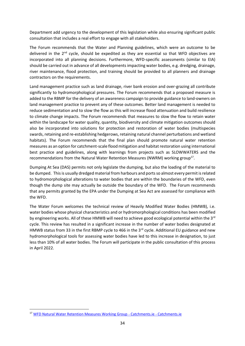Department add urgency to the development of this legislation while also ensuring significant public consultation that includes a real effort to engage with all stakeholders.

The Forum recommends that the Water and Planning guidelines, which were an outcome to be delivered in the 2<sup>nd</sup> cycle, should be expedited as they are essential so that WFD objectives are incorporated into all planning decisions. Furthermore, WFD-specific assessments (similar to EIA) should be carried out in advance of all developments impacting water bodies, e.g. dredging, drainage, river maintenance, flood protection, and training should be provided to all planners and drainage contractors on the requirements.

Land management practice such as land drainage, river bank erosion and over-grazing all contribute significantly to hydromorphological pressures. The Forum recommends that a proposed measure is added to the RBMP for the delivery of an awareness campaign to provide guidance to land-owners on land management practice to prevent any of these outcomes. Better land management is needed to reduce sedimentation and to slow the flow as this will increase flood attenuation and build resilience to climate change impacts. The Forum recommends that measures to slow the flow to retain water within the landscape for water quality, quantity, biodiversity and climate mitigation outcomes should also be incorporated into solutions for protection and restoration of water bodies (multispecies swards, retaining and re-establishing hedgerows, retaining natural channel perturbations and wetland habitats). The Forum recommends that the final plan should promote natural water retention measures as an option for catchment-scale flood mitigation and habitat restoration using international best practice and guidelines, along with learnings from projects such as SLOWWATERS and the recommendations from the Natural Water Retention Measures (NWRM) working group<sup>17</sup>.

Dumping At Sea (DAS) permits not only legislate the dumping, but also the loading of the material to be dumped. This is usually dredged material from harbours and ports so almost every permit is related to hydromorphological alterations to water bodies that are within the boundaries of the WFD, even though the dump site may actually be outside the boundary of the WFD. The Forum recommends that any permits granted by the EPA under the Dumping at Sea Act are assessed for compliance with the WFD.

The Water Forum welcomes the technical review of Heavily Modified Water Bodies (HMWB), i.e. water bodies whose physical characteristics and or hydromorphological conditions has been modified by engineering works. All of these HMWB will need to achieve good ecological potential within the 3<sup>rd</sup> cycle. This review has resulted in a significant increase in the number of water bodies designated at HMWB status from 33 in the first RBMP cycle to 466 in the  $3<sup>rd</sup>$  cycle. Additional EU guidance and new hydromorphological tools for assessing water bodies have led to this increase in designation, to just less than 10% of all water bodies. The Forum will participate in the public consultation of this process in April 2022.

<sup>&</sup>lt;sup>17</sup> [WFD Natural Water Retention Measures Working Group -](https://www.catchments.ie/download/wfd-natural-water-retention-measures/) Catchments.ie - Catchments.ie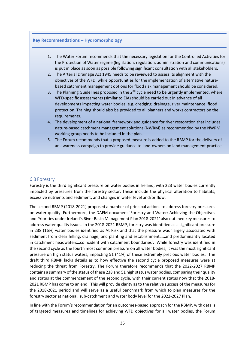#### **Key Recommendations – Hydromorphology**

- 1. The Water Forum recommends that the necessary legislation for the Controlled Activities for the Protection of Water regime (legislation, regulation, administration and communications) is put in place as soon as possible following significant consultation with all stakeholders.
- 2. The Arterial Drainage Act 1945 needs to be reviewed to assess its alignment with the objectives of the WFD, while opportunities for the implementation of alternative naturebased catchment management options for flood risk management should be considered.
- 3. The Planning Guidelines proposed in the  $2^{nd}$  cycle need to be urgently implemented, where WFD-specific assessments (similar to EIA) should be carried out in advance of all developments impacting water bodies, e.g. dredging, drainage, river maintenance, flood protection. Training should also be provided to all planners and works contractors on the requirements.
- 4. The development of a national framework and guidance for river restoration that includes nature-based catchment management solutions (NWRM) as recommended by the NWRM working group needs to be included in the plan.
- 5. The Forum recommends that a proposed measure is added to the RBMP for the delivery of an awareness campaign to provide guidance to land-owners on land management practice.

## <span id="page-35-0"></span>6.3 Forestry

Forestry is the third significant pressure on water bodies in Ireland, with 223 water bodies currently impacted by pressures from the forestry sector. These include the physical alteration to habitats, excessive nutrients and sediment, and changes in water level and/or flow.

The second RBMP (2018-2021) proposed a number of principal actions to address forestry pressures on water quality. Furthermore, the DAFM document 'Forestry and Water: Achieving the Objectives and Priorities under Ireland's River Basin Management Plan 2018-2021' also outlined key measures to address water quality issues. In the 2018-2021 RBMP, forestry was identified as a significant pressure in 238 (16%) water bodies identified as At Risk and that the pressure was 'largely associated with sediment from clear felling, drainage, and planting and establishment…..and predominantly located in catchment headwaters…coincident with catchment boundaries'. While forestry was identified in the second cycle as the fourth most common pressure on all water bodies, it was the most significant pressure on high status waters, impacting 51 (41%) of these extremely precious water bodies. The draft third RBMP lacks details as to how effective the second cycle proposed measures were at reducing the threat from Forestry. The Forum therefore recommends that the 2022-2027 RBMP contains a summary of the status of these 238 and 51 high status water bodies, comparing their quality and status at the commencement of the second cycle, with their current status now that the 2018- 2021 RBMP has come to an end. This will provide clarity as to the relative success of the measures for the 2018-2021 period and will serve as a useful benchmark from which to plan measures for the forestry sector at national, sub-catchment and water body level for the 2022-2027 Plan.

In line with the Forum's recommendation for an outcomes-based approach for the RBMP, with details of targeted measures and timelines for achieving WFD objectives for all water bodies, the Forum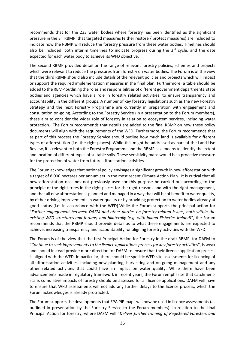recommends that for the 233 water bodies where forestry has been identified as the significant pressure in the 3<sup>rd</sup> RBMP, that targeted measures (either restore / protect measures) are included to indicate how the RBMP will reduce the forestry pressure from these water bodies. Timelines should also be included, both interim timelines to indicate progress during the  $3<sup>rd</sup>$  cycle, and the date expected for each water body to achieve its WFD objective.

The second RBMP provided detail on the range of relevant forestry policies, schemes and projects which were relevant to reduce the pressures from forestry on water bodies. The Forum is of the view that the third RBMP should also include details of the relevant policies and projects which will impact or support the required implementation measures in the final plan. Furthermore, a table should be added to the RBMP outlining the roles and responsibilities of different government departments, state bodies and agencies which have a role in forestry related activities, to ensure transparency and accountability in the different groups. A number of key forestry legislations such as the new Forestry Strategy and the next Forestry Programme are currently in preparation with engagement and consultation on-going. According to the Forestry Service (in a presentation to the Forum members), these aim to consider the wider role of forestry in relation to ecosystem services, including water protection. The Forum recommends that details are added to the final RBMP on how these policy documents will align with the requirements of the WFD. Furthermore, the Forum recommends that as part of this process the Forestry Service should outline how much land is available for different types of afforestation (i.e. the right places). While this might be addressed as part of the Land Use Review, it is relevant to both the Forestry Programme and the RBMP as a means to identify the extent and location of different types of suitable soils. These sensitivity maps would be a proactive measure for the protection of water from future afforestation activities.

The Forum acknowledges that national policy envisages a significant growth in new afforestation with a target of 8,000 hectares per annum set in the most recent Climate Action Plan. It is critical that all new afforestation on lands not previously used for this purpose be carried out according to the principle of the right trees in the right places for the right reasons and with the right management, and that all new afforestation is planned and managed in a way that will be of benefit to water quality, by either driving improvements in water quality or by providing protection to water bodies already at good status (i.e. in accordance with the WFD).While the Forum supports the principal action for "*Further engagement between DAFM and other parties on forestry-related issues, both within the existing WFD structures and forums, and bilaterally (e.g. with Inland Fisheries Ireland)*", the Forum recommends that the RBMP should provide detail as to what these engagements are expected to achieve, increasing transparency and accountability for aligning forestry activities with the WFD.

The Forum is of the view that the first Principal Action for Forestry in the draft RBMP, for DAFM to "*Continue to seek improvements to the licence applications process for key forestry activities*", is weak and should instead provide more direction for DAFM to ensure that their licence application process is aligned with the WFD. In particular, there should be specific WFD site assessments for licencing of all afforestation activities, including new planting, harvesting and on-going management and any other related activities that could have an impact on water quality. While there have been advancements made in regulatory framework in recent years, the Forum emphasise that catchmentscale, cumulative impacts of forestry should be assessed for all licence applications. DAFM will have to ensure that WFD assessments will not add any further delays to the licence process, which the Forum acknowledges is already protracted.

The Forum supports the developments that EPA PIP maps will now be used in licence assessments (as outlined in presentation by the Forestry Service to the Forum members). In relation to the final Principal Action for forestry, where DAFM will "*Deliver further training of Registered Foresters and*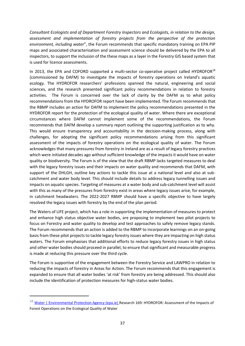*Consultant Ecologists and of Department Forestry Inspectors and Ecologists, in relation to the design, assessment and implementation of forestry projects from the perspective of the protection environment, including water*", the Forum recommends that specific mandatory training on EPA PIP maps and associated characterisation and assessment science should be delivered by the EPA to all inspectors, to support the inclusion of the these maps as a layer in the Forestry GIS based system that is used for licence assessments.

In 2013, the EPA and COFORD supported a multi-sector co-operative project called HYDROFOR $^{18}$ (commissioned by DAFM) to investigate the impacts of forestry operations on Ireland's aquatic ecology. The HYDROFOR researchers' professions spanned the natural, engineering and social sciences, and the research presented significant policy recommendations in relation to forestry activities. The Forum is concerned over the lack of clarity by the DAFM as to what policy recommendations from the HYDROFOR report have been implemented. The Forum recommends that the RBMP includes an action for DAFM to implement the policy recommendations presented in the HYDROFOR report for the protection of the ecological quality of water. Where there are exceptional circumstances where DAFM cannot implement some of the recommendations, the Forum recommends that DAFM develop a summary report outlining the supporting justification as to why. This would ensure transparency and accountability in the decision-making process, along with challenges, for adopting the significant policy recommendations arising from this significant assessment of the impacts of forestry operations on the ecological quality of water. The Forum acknowledges that many pressures from forestry in Ireland are as a result of legacy forestry practices which were initiated decades ago without sufficient knowledge of the impacts it would have on water quality or biodiversity. The Forum is of the view that the draft RBMP lacks targeted measures to deal with the legacy forestry issues and their impacts on water quality and recommends that DAFM, with support of the DHLGH, outline key actions to tackle this issue at a national level and also at subcatchment and water body level. This should include details to address legacy tunnelling issues and impacts on aquatic species. Targeting of measures at a water body and sub-catchment level will assist with this as many of the pressures from forestry exist in areas where legacy issues arise, for example, in catchment headwaters. The 2022-2027 RBMP should have a specific objective to have largely resolved the legacy issues with forestry by the end of the plan period.

The Waters of LIFE project, which has a role in supporting the implementation of measures to protect and enhance high status objective water bodies, are proposing to implement two pilot projects to focus on Forestry and water quality to develop and test approaches to safely remove legacy stands. The Forum recommends that an action is added to the RBMP to incorporate learnings on an on-going basis from these pilot projects to tackle legacy forestry issues where they are impacting on high status waters. The Forum emphasises that additional efforts to reduce legacy forestry issues in high status and other water bodies should proceed in parallel, to ensure that significant and measurable progress is made at reducing this pressure over the third cycle.

The Forum is supportive of the engagement between the Forestry Service and LAWPRO in relation to reducing the impacts of forestry in Areas for Action. The Forum recommends that this engagement is expanded to ensure that all water bodies 'at risk' from forestry are being addressed. This should also include the identification of protection measures for high-status water bodies.

 $^{18}$  [Water | Environmental Protection Agency \(epa.ie\)](https://www.epa.ie/publications/research/water/research-report-169.php) Research 169: HYDROFOR: Assessment of the Impacts of Forest Operations on the Ecological Quality of Water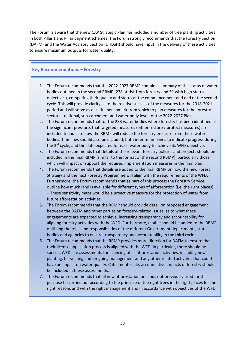The Forum is aware that the new CAP Strategic Plan has included a number of tree planting activities in both Pillar 1 and Pillar payment schemes. The Forum strongly recommends that the Forestry Section (DAFM) and the Water Advisory Section (DHLGH) should have input in the delivery of these activities to ensure maximum outputs for water quality.

# **Key Recommendations – Forestry**

- 1. The Forum recommends that the 2022-2027 RBMP contain a summary of the status of water bodies outlined in the second RBMP (238 at risk from forestry and 51 with high status objectives), comparing their quality and status at the commencement and end of the second cycle. This will provide clarity as to the relative success of the measures for the 2018-2021 period and will serve as a useful benchmark from which to plan measures for the forestry sector at national, sub-catchment and water body level for the 2022-2027 Plan.
- 2. The Forum recommends that for the 233 water bodies where forestry has been identified as the significant pressure, that targeted measures (either restore / protect measures) are included to indicate how the RBMP will reduce the forestry pressure from these water bodies. Timelines should also be included, both interim timelines to indicate progress during the  $3<sup>rd</sup>$  cycle, and the date expected for each water body to achieve its WFD objective.
- 3. The Forum recommends that details of the relevant forestry policies and projects should be included in the final RBMP (similar to the format of the second RBMP), particularly those which will impact or support the required implementation measures in the final plan.
- 4. The Forum recommends that details are added to the final RBMP on how the new Forest Strategy and the next Forestry Programme will align with the requirements of the WFD. Furthermore, the Forum recommends that as part of this process the Forestry Service outline how much land is available for different types of afforestation (i.e. the right places). – These sensitivity maps would be a proactive measure for the protection of water from future afforestation activities.
- 5. The Forum recommends that the RBMP should provide detail on proposed engagement between the DAFM and other parties on forestry-related issues, as to what these engagements are expected to achieve, increasing transparency and accountability for aligning forestry activities with the WFD. Furthermore, a table should be added to the RBMP outlining the roles and responsibilities of the different Government departments, state bodies and agencies to ensure transparency and accountability in the third cycle.
- 6. The Forum recommends that the RBMP provides more direction for DAFM to ensure that their licence application process is aligned with the WFD. In particular, there should be specific WFD site assessments for licencing of all afforestation activities, including new planting, harvesting and on-going management and any other related activities that could have an impact on water quality. Catchment-scale, accumulative impacts of forestry should be included in these assessments.
- 7. The Forum recommends that all new afforestation on lands not previously used for this purpose be carried out according to the principle of the right trees in the right places for the right reasons and with the right management and in accordance with objectives of the WFD.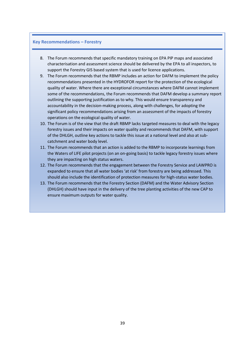#### **Key Recommendations – Forestry**

- 8. The Forum recommends that specific mandatory training on EPA PIP maps and associated characterisation and assessment science should be delivered by the EPA to all inspectors, to support the Forestry GIS based system that is used for licence applications.
- 9. The Forum recommends that the RBMP includes an action for DAFM to implement the policy recommendations presented in the HYDROFOR report for the protection of the ecological quality of water. Where there are exceptional circumstances where DAFM cannot implement some of the recommendations, the Forum recommends that DAFM develop a summary report outlining the supporting justification as to why. This would ensure transparency and accountability in the decision-making process, along with challenges, for adopting the significant policy recommendations arising from an assessment of the impacts of forestry operations on the ecological quality of water.
- 10. The Forum is of the view that the draft RBMP lacks targeted measures to deal with the legacy forestry issues and their impacts on water quality and recommends that DAFM, with support of the DHLGH, outline key actions to tackle this issue at a national level and also at subcatchment and water body level.
- 11. The Forum recommends that an action is added to the RBMP to incorporate learnings from the Waters of LIFE pilot projects (on an on-going basis) to tackle legacy forestry issues where they are impacting on high status waters.
- 12. The Forum recommends that the engagement between the Forestry Service and LAWPRO is expanded to ensure that all water bodies 'at risk' from forestry are being addressed. This should also include the identification of protection measures for high-status water bodies.
- 13. The Forum recommends that the Forestry Section (DAFM) and the Water Advisory Section (DHLGH) should have input in the delivery of the tree planting activities of the new CAP to ensure maximum outputs for water quality.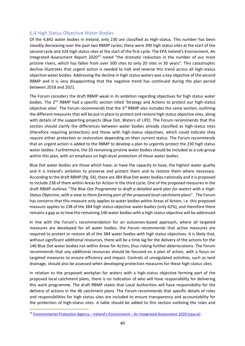## <span id="page-40-0"></span>6.4 High Status Objective Water Bodies

Of the 4,842 water bodies in Ireland, only 230 are classified as High-status. This number has been steadily decreasing over the past two RBMP cycles; there were 290 high status sites at the start of the second cycle and 324 high status sites at the start of the first cycle. The EPA Ireland's Environment, An Integrated Assessment Report 2020<sup>19</sup> noted "the dramatic reduction in the number of our most pristine rivers, which has fallen from over 500 sites to only 20 sites in 30 years". This catastrophic decline illustrates that urgent action is needed to halt and reverse this trend across all high-status objective water bodies. Addressing the decline in high status waters was a key objective of the second RBMP and it is very disappointing that the negative trend has continued during the plan period between 2018 and 2021.

The Forum considers the draft RBMP weak in its ambition regarding objectives for high status water bodies. The 2<sup>nd</sup> RBMP had a specific section titled 'Strategy and Actions to protect our high-status objective sites'. The Forum recommends that the  $3<sup>rd</sup>$  RBMP also includes the same section, outlining the different measures that will be put in place to protect and restore high status objective sites, along with details of the supporting projects (Blue Dot, Waters of LIFE). The Forum recommends that this section should clarify the differences between water bodies already classified as high-status sites (therefore requiring protection) and those with high-status objectives, which could indicate they require either protection or restoration depending on their current status. The Forum recommends that an urgent action is added to the RBMP to develop a plan to urgently protect the 230 high status water bodies. Furthermore, the 20 remaining pristine water bodies should be included as a sub-group within this plan, with an emphasis on high-level protection of these water bodies.

Blue Dot water bodies are those which have, or have the capacity to have, the highest water quality and it is Ireland's ambition to preserve and protect them and to restore them where necessary. According to the draft RBMP (Pg. 54), there are 384 Blue Dot water bodies nationally and it is proposed to include 238 of them within Areas for Action in the third cycle. One of the proposed measures in the draft RBMP outlines "*The Blue Dot Programme to draft a detailed work plan for waters with a High-Status Objective, with a view to them forming part of the proposed local catchment plans*". The Forum has concerns that this measure only applies to water bodies within Areas of Action, i.e. this proposed measure applies to 238 of the 384 high status objective water bodies (only 62%), and therefore there remains a gap as to how the remaining 146 water bodies with a high-status objective will be addressed

In line with the Forum's recommendation for an outcomes-based approach, where all targeted measures are developed for all water bodies, the Forum recommends that active measures are required to protect or restore all of the 384 water bodies with high status objectives. It is likely that, without significant additional resources, there will be a time lag for the delivery of the actions for the 146 Blue Dot water bodies not within Areas for Action, thus risking further deteriorations. The Forum recommends that any additional resources should be focused on a plan of action, with a focus on targeted measures to ensure efficiency and impact. Controls of unregulated activities, such as land drainage, should also be assessed when developing protection measures for these high-status sites.

In relation to the proposed workplan for waters with a high-status objective forming part of the proposed local catchment plans, there is no indication of who will have responsibility for delivering this work programme. The draft RBMP states that Local Authorities will have responsibility for the delivery of actions in the 46 catchment plans. The Forum recommends that specific details of roles and responsibilities for high status sites are included to ensure transparency and accountability for the protection of high-status sites. A table should be added to this section outlining the roles and

<sup>19</sup> Environmental Protection Agency – Ireland's Environment – [An Integrated Assessment 2020 \(epa.ie\)](https://www.epa.ie/publications/monitoring--assessment/assessment/state-of-the-environment/EPA_Irelands_Environment_2020.pdf)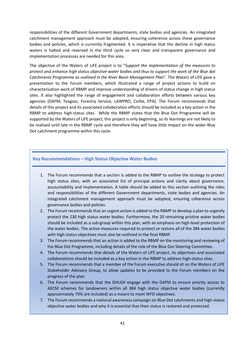responsibilities of the different Government departments, state bodies and agencies. An integrated catchment management approach must be adopted, ensuring coherence across these governance bodies and policies, which is currently fragmented. It is imperative that the decline in high status waters is halted and reversed in the third cycle so very clear and transparent governance and implementation processes are needed for this area.

The objective of the Waters of LIFE project is to "*Support the implementation of the measures to protect and enhance high status objective water bodies and thus to support the work of the Blue dot Catchments Programme as outlined in the River Basin Management Plan*". The Waters of LIFE gave a presentation to the Forum members, which illustrated a range of project actions to build on characterisation work of RBMP and improve understanding of drivers of status change in high status sites. It also highlighted the range of engagement and collaboration efforts between various key agencies (DAFM, Teagasc, Forestry Service, LAWPRO, Coilte, EPA). The Forum recommends that details of this project and its associated collaboration efforts should be included as a key action in the RBMP to address high-status sites. While the RBMP states that the Blue Dot Programme will be supported by the Waters of LIFE project, this project is only beginning, so its learnings are not likely to be realised until late in the RBMP cycle and therefore they will have little impact on the wider Blue Dot catchment programme within this cycle.

# **Key Recommendations – High Status Objective Water Bodies**

- 1. The Forum recommends that a section is added to the RBMP to outline the strategy to protect high status sites, with an associated list of principal actions and clarity about governance, accountability and implementation. A table should be added to this section outlining the roles and responsibilities of the different Government departments, state bodies and agencies. An integrated catchment management approach must be adopted, ensuring coherence across governance bodies and policies.
- 2. The Forum recommends that an urgent action is added to the RBMP to develop a plan to urgently protect the 230 high status water bodies. Furthermore, the 20 remaining pristine water bodies should be included as a sub-group within this plan, with an emphasis on high-level protection of the water bodies. The active measures required to protect or restore all of the 384 water bodies with high status objectives must also be outlined in the final RBMP.
- 3. The Forum recommends that an action is added to the RBMP on the monitoring and reviewing of the Blue Dot Programme, including details of the role of the Blue Dot Steering Committee.
- 4. The Forum recommends that details of the Waters of LIFE project, its objectives and associated collaborations should be included as a key action in the RBMP to address high-status sites.
- 5. The Forum recommends that a member of the Forum executive should sit on the Waters of LIFE Stakeholder Advisory Group, to allow updates to be provided to the Forum members on the progress of the plan.
- 6. The Forum recommends that the DHLGH engage with the DAFM to ensure priority access to AECM schemes for landowners within all 384 high status objective water bodies (currently approximately 70% are included) as a means to meet WFD objectives.
- 7. The Forum recommends a national awareness campaign on Blue Dot catchments and high-status objective water bodies and why it is essential that their status is restored and protected.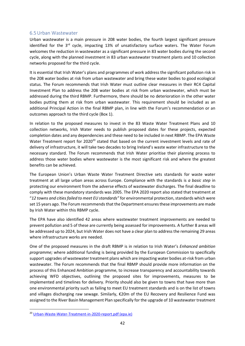#### <span id="page-42-0"></span>6.5Urban Wastewater

Urban wastewater is a main pressure in 208 water bodies, the fourth largest significant pressure identified for the  $3<sup>rd</sup>$  cycle, impacting 13% of unsatisfactory surface waters. The Water Forum welcomes the reduction in wastewater as a significant pressure in 83 water bodies during the second cycle, along with the planned investment in 83 urban wastewater treatment plants and 10 collection networks proposed for the third cycle.

It is essential that Irish Water's plans and programmes of work address the significant pollution risk in the 208 water bodies at risk from urban wastewater and bring these water bodies to good ecological status. The Forum recommends that Irish Water must outline clear measures in their RC4 Capital Investment Plan to address the 208 water bodies at risk from urban wastewater, which must be addressed during the third RBMP. Furthermore, there should be no deterioration in the other water bodies putting them at risk from urban wastewater. This requirement should be included as an additional Principal Action in the final RBMP plan, in line with the Forum's recommendation or an outcomes approach to the third cycle (Box 1).

In relation to the proposed measures to invest in the 83 Waste Water Treatment Plans and 10 collection networks, Irish Water needs to publish proposed dates for these projects, expected completion dates and any dependencies and these need to be included in next RBMP. The EPA Waste Water Treatment report for 2020<sup>20</sup> stated that based on the current investment levels and rate of delivery of infrastructure, it will take two decades to bring Ireland's waste water infrastructure to the necessary standard. The Forum recommends that Irish Water prioritise their planning process to address those water bodies where wastewater is the most significant risk and where the greatest benefits can be achieved.

The European Union's Urban Waste Water Treatment Directive sets standards for waste water treatment at all large urban areas across Europe. Compliance with the standards is *a basic step* in protecting our environment from the adverse effects of wastewater discharges. The final deadline to comply with these mandatory standards was 2005. The EPA 2020 report also stated that treatment at "*12 towns and cities failed to meet EU standards"* for environmental protection, standards which were set 15 years ago. The Forum recommends that the Department ensures these improvements are made by Irish Water within this RBMP cycle.

The EPA have also identified 42 areas where wastewater treatment improvements are needed to prevent pollution and 5 of these are currently being assessed for improvements. A further 8 areas will be addressed up to 2024, but Irish Water does not have a clear plan to address the remaining 29 areas where infrastructure works are needed.

One of the proposed measures in the draft RBMP is in relation to Irish Water's *Enhanced ambition programme;* where additional funding is being provided by the European Commission to specifically support upgrades of wastewater treatment plans which are impacting water bodies at-risk from urban wastewater. The Forum recommends that the final RBMP should provide more information on the process of this Enhanced Ambition programme, to increase transparency and accountability towards achieving WFD objectives, outlining the proposed sites for improvements, measures to be implemented and timelines for delivery. Priority should also be given to towns that have more than one environmental priority such as failing to meet EU treatment standards and is on the list of towns and villages discharging raw sewage. Similarly, €20m of the EU Recovery and Resilience Fund was assigned to the River Basin Management Plan specifically for the upgrade of 10 wastewater treatment

<sup>20</sup> [Urban-Waste-Water-Treatment-in-2020-report.pdf \(epa.ie\)](https://www.epa.ie/publications/monitoring--assessment/waste-water/Urban-Waste-Water-Treatment-in-2020-report.pdf)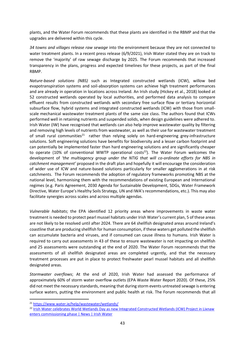plants, and the Water Forum recommends that these plants are identified in the RBMP and that the upgrades are delivered within this cycle.

*34 towns and villages release raw sewage* into the environment because they are not connected to water treatment plants. In a recent press release (6/9/2021), Irish Water stated they are on track to remove the 'majority' of raw sewage discharge by 2025. The Forum recommends that increased transparency in the plans, progress and expected timelines for these projects, as part of the final RBMP.

*Nature-based solutions (NBS)* such as Integrated constructed wetlands (ICW), willow bed evapotranspiration systems and soil-absorption systems can achieve high treatment performances and are already in operation in locations across Ireland. An Irish study (Hickey et al., 2018) looked at 52 constructed wetlands operated by local authorities, and performed data analysis to compare effluent results from constructed wetlands with secondary free surface flow or tertiary horizontal subsurface flow, hybrid systems and integrated constructed wetlands (ICW) with those from smallscale mechanical wastewater treatment plants of the same size class. The authors found that ICWs performed well in retaining nutrients and suspended solids, when design guidelines were adhered to. Irish Water (IW) have recognised that wetlands can also help improve wastewater quality by filtering and removing high levels of nutrients from wastewater, as well as their use for wastewater treatment of small rural communities<sup>21</sup> rather than relying solely on hard-engineering grey-infrastructure solutions. Soft engineering solutions have benefits for biodiversity and a lesser carbon footprint and can potentially be implemented faster than hard engineering solutions and are significantly cheaper to operate (10% of conventional WWTP operational costs<sup>22</sup>). The Water Forum welcomes the development of *'the multiagency group under the NTIG that will co-ordinate efforts for NBS in catchment management'* proposed in the draft plan and hopefully it will encourage the consideration of wider use of ICW and nature-based solutions particularly for smaller agglomerations in at risk catchments. The Forum recommends the adoption of regulatory frameworks promoting NBS at the national level, harmonising them with the recommendations of existing European and International regimes (e.g. Paris Agreement, 2030 Agenda for Sustainable Development, SDGs, Water Framework Directive, Water Europe's Healthy Soils Strategy, UN and IWA's recommendations, etc.). This may also facilitate synergies across scales and across multiple agendas.

*Vulnerable habitats*; the EPA identified 12 priority areas where improvements in waste water treatment is needed to protect pearl mussel habitats under Irish Water's current plan, 5 of these areas are not likely to be resolved until after 2024. There are 64 shellfish designated areas around Ireland's coastline that are producing shellfish for human consumption, if these waters get polluted the shellfish can accumulate bacteria and viruses, and if consumed can cause illness to humans. Irish Water is required to carry out assessments in 43 of these to ensure wastewater is not impacting on shellfish and 25 assessments were outstanding at the end of 2020. The Water Forum recommends that the assessments of all shellfish designated areas are completed urgently, and that the necessary treatment processes are put in place to protect freshwater pearl mussel habitats and all shellfish designated areas.

*Stormwater overflows*; At the end of 2020, Irish Water had assessed the performance of approximately 60% of storm water overflow outlets (EPA Waste Water Report 2020). Of these, 25% did not meet the necessary standards, meaning that during storm events untreated sewage is entering surface waters, putting the environment and public health at risk. The Forum recommends that all

<sup>21</sup> <https://www.water.ie/help/wastewater/wetlands/>

<sup>&</sup>lt;sup>22</sup> Irish Water celebrates World Wetlands Day as new Integrated Constructed Wetlands (ICW) Project in Lixnaw [enters commissioning phase | News | Irish Water](https://www.water.ie/news/irish-water-celebrates-wo-1/)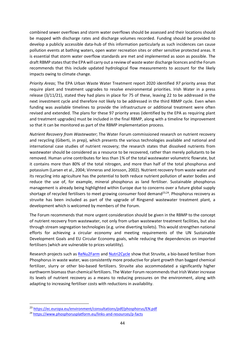combined sewer overflows and storm water overflows should be assessed and their locations should be mapped with discharge rates and discharge volumes recorded. Funding should be provided to develop a publicly accessible data-hub of this information particularly as such incidences can cause pollution events at bathing waters, open water recreation sites or other sensitive protected areas. It is essential that storm water overflow standards are met and implemented as soon as possible. The draft RBMP states that the EPA will carry out a review of waste water discharge licences and the Forum recommends that this include updated hydrological flow measurements to account for the likely impacts owing to climate change.

*Priority Areas*; The EPA Urban Waste Water Treatment report 2020 identified *97* priority areas that require plant and treatment upgrades to resolve environmental priorities. Irish Water in a press release (3/11/21), stated they had plans in place for 75 of these, leaving 22 to be addressed in the next investment cycle and therefore not likely to be addressed in the third RBMP cycle. Even when funding was available timelines to provide the infrastructure or additional treatment were often revised and extended. The plans for these 97 priority areas (identified by the EPA as requiring plant and treatment upgrades) must be included in the final RBMP, along with a timeline for improvement so that it can be monitored as part of the RBMP implementation process.

*Nutrient Recovery from Wastewater*; The Water Forum commissioned research on nutrient recovery and recycling (Giberti, in prep), which presents the various technologies available and national and international case studies of nutrient recovery; the research states that dissolved nutrients from wastewater should be considered as a resource to be recovered, rather than merely pollutants to be removed. Human urine contributes for less than 1% of the total wastewater volumetric flowrate, but it contains more than 80% of the total nitrogen, and more than half of the total phosphorus and potassium (Larsen et al., 2004; Vinneras and Jonsson, 2002). Nutrient recovery from waste water and its recycling into agriculture has the potential to both reduce nutrient pollution of water bodies and reduce the use of, for example, mineral phosphorus as land fertiliser. Sustainable phosphorus management is already being highlighted within Europe due to concerns over a future global supply shortage of recycled fertilisers to meet growing consumer food demand<sup>23,24</sup>. Phosphorus recovery as struvite has been included as part of the upgrade of Ringsend wastewater treatment plant, a development which is welcomed by members of the Forum.

The Forum recommends that more urgent consideration should be given in the RBMP to the concept of nutrient recovery from wastewater, not only from urban wastewater treatment facilities, but also through stream segregation technologies (e.g. urine diverting toilets). This would strengthen national efforts for achieving a circular economy and meeting requirements of the UN Sustainable Development Goals and EU Circular Economy goals, while reducing the dependencies on imported fertilisers (which are vulnerable to prices volatility).

Research projects such as [ReNu2Farm](https://www.nweurope.eu/projects/project-search/renu2farm-nutrient-recycling-from-pilot-production-to-farms-and-fields/) and [Nutri2Cycle](https://www.nutri2cycle.eu/document/#*) show that Struvite, a bio-based fertiliser from Phosphorus in waste water, was consistently more productive for plant growth than bagged chemical fertilizer, slurry or other bio-based fertilizers. Struvite also accommodated a significantly higher earthworm biomass than chemical fertilizers. The Water Forum recommends that Irish Water increase its levels of nutrient recovery as a means to reducing pressures on the environment, along with adapting to increasing fertiliser costs with reductions in availability.

<sup>23</sup> <https://ec.europa.eu/environment/consultations/pdf/phosphorus/EN.pdf>

<sup>24</sup> <https://www.phosphorusplatform.eu/links-and-resources/p-facts>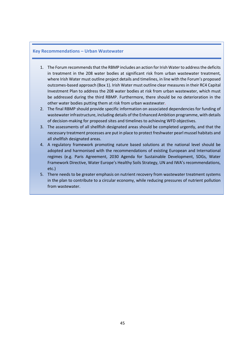#### **Key Recommendations – Urban Wastewater**

- 1. The Forum recommends that the RBMP includes an action for Irish Waterto address the deficits in treatment in the 208 water bodies at significant risk from urban wastewater treatment, where Irish Water must outline project details and timelines, in line with the Forum's proposed outcomes-based approach (Box 1). Irish Water must outline clear measures in their RC4 Capital Investment Plan to address the 208 water bodies at risk from urban wastewater, which must be addressed during the third RBMP. Furthermore, there should be no deterioration in the other water bodies putting them at risk from urban wastewater.
- 2. The final RBMP should provide specific information on associated dependencies for funding of wastewater infrastructure, including details of the Enhanced Ambition programme, with details of decision-making for proposed sites and timelines to achieving WFD objectives.
- 3. The assessments of all shellfish designated areas should be completed urgently, and that the necessary treatment processes are put in place to protect freshwater pearl mussel habitats and all shellfish designated areas.
- 4. A regulatory framework promoting nature based solutions at the national level should be adopted and harmonised with the recommendations of existing European and International regimes (e.g. Paris Agreement, 2030 Agenda for Sustainable Development, SDGs, Water Framework Directive, Water Europe's Healthy Soils Strategy, UN and IWA's recommendations, etc.)
- 5. There needs to be greater emphasis on nutrient recovery from wastewater treatment systems in the plan to contribute to a circular economy, while reducing pressures of nutrient pollution from wastewater.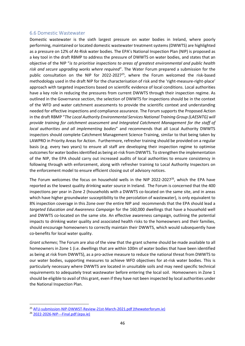#### <span id="page-46-0"></span>6.6 Domestic Wastewater

Domestic wastewater is the sixth largest pressure on water bodies in Ireland, where poorly performing, maintained or located domestic wastewater treatment systems (DWWTS) are highlighted as a pressure on 12% of At-Risk water bodies. The EPA's National Inspection Plan (NIP) is proposed as a key tool in the draft RBMP to address the pressure of DWWTS on water bodies, and states that an objective of the NIP "*is to prioritise inspections to areas of greatest environmental and public health risk and secure upgrading works where required*". The Water Forum prepared a submission for the public consultation on the NIP for  $2022-2027^{25}$ , where the Forum welcomed the risk-based methodology used in the draft NIP for the characterisation of risk and the 'right-measure-right-place' approach with targeted inspections based on scientific evidence of local conditions. Local authorities have a key role in reducing the pressures from current DWWTS through their inspection regime. As outlined in the Governance section, the selection of DWWTS for inspections should be in the context of the WFD and water catchment assessments to provide the scientific context and understanding needed for effective inspections and compliance assurance. The Forum supports the Proposed Action in the draft RBMP "*The Local Authority Environmental Services National Training Group (LAESNTG) will provide training for catchment assessment and Integrated Catchment Management for the staff of local authorities and all implementing bodies*" and recommends that all Local Authority DWWTS inspectors should complete Catchment Management Science Training, similar to that being taken by LAWPRO in Priority Areas for Action. Furthermore, refresher training should be provided on a regular basis (e.g. every two years) to ensure all staff are developing their inspection regime to optimise outcomes for water bodiesidentified as being at-risk from DWWTS. To strengthen the implementation of the NIP, the EPA should carry out increased audits of local authorities to ensure consistency in following through with enforcement, along with refresher training to Local Authority Inspectors on the enforcement model to ensure efficient closing out of advisory notices.

The Forum welcomes the focus on household wells in the NIP 2022-2027 $^{26}$ , which the EPA have reported as the lowest quality drinking water source in Ireland. The Forum is concerned that the 400 inspections per year in Zone 2 (households with a DWWTS co-located on the same site, and in areas which have higher groundwater susceptibility to the percolation of wastewater), is only equivalent to 8% inspection coverage in this Zone over the entire NIP and recommends that the EPA should lead a *targeted Education and Awareness Campaign* for the 160,000 dwellings that have a household well and DWWTS co-located on the same site. An effective awareness campaign, outlining the potential impacts to drinking water quality and associated health risks to the homeowners and their families, should encourage homeowners to correctly maintain their DWWTS, which would subsequently have co-benefits for local water quality.

*Grant schemes*; The Forum are also of the view that the grant scheme should be made available to all homeowners in Zone 1 (i.e. dwellings that are within 100m of water bodies that have been identified as being at risk from DWWTS), as a pro-active measure to reduce the national threat from DWWTS to our water bodies, supporting measures to achieve WFD objectives for at-risk water bodies. This is particularly necessary where DWWTS are located in unsuitable soils and may need specific technical requirements to adequately treat wastewater before entering the local soil. Homeowners in Zone 1 should be eligible to avail of this grant, even if they have not been inspected by local authorities under the National Inspection Plan.

<sup>25</sup> [AFU-submission-NIP-DWWST-Review-21st-March-2021.pdf \(thewaterforum.ie\)](https://thewaterforum.ie/app/uploads/2021/04/AFU-submission-NIP-DWWST-Review-21st-March-2021.pdf)

<sup>26</sup> [2022-2026-NIP---Final.pdf \(epa.ie\)](https://www.epa.ie/publications/compliance--enforcement/waste-water/2022-2026-NIP---Final.pdf)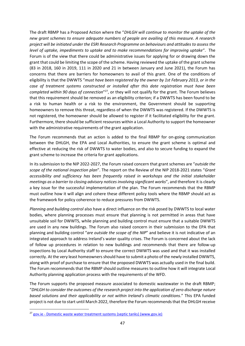The draft RBMP has a Proposed Action where the "*DHLGH will continue to monitor the uptake of the new grant schemes to ensure adequate numbers of people are availing of this measure. A research project will be initiated under the ESRI Research Programme on behaviours and attitudes to assess the level of uptake, impediments to uptake and to make recommendations for improving uptake*". The Forum is of the view that there could be administrative issues for applying for or drawing down the grant that could be limiting the scope of the scheme. Having reviewed the uptake of the grant scheme (83 in 2018, 160 in 2019, 111 in 2020 and 21 in between January and June 2021), the Forum has concerns that there are barriers for homeowners to avail of this grant. One of the conditions of eligibility is that the DWWTS "*must have been registered by the owner by 1st February 2013, or in the case of treatment systems constructed or installed after this date registration must have been*  completed within 90 days of connection<sup>"27</sup>, or they will not qualify for the grant. The Forum believes that this requirement should be removed as an eligibility criterion; if a DWWTS has been found to be a risk to human health or a risk to the environment, the Government should be supporting homeowners to remove this threat, regardless of when the DWWTS was registered. If the DWWTS is not registered, the homeowner should be allowed to register if it facilitated eligibility for the grant. Furthermore, there should be sufficient resources within a Local Authority to support the homeowner with the administrative requirements of the grant application.

The Forum recommends that an action is added to the final RBMP for on-going communication between the DHLGH, the EPA and Local Authorities, to ensure the grant scheme is optimal and effective at reducing the risk of DWWTS to water bodies, and also to secure funding to expand the grant scheme to increase the criteria for grant applications.

In its submission to the NIP 2022-2027, the Forum raised concern that grant schemes are "*outside the scope of the national inspection plan*". The report on the Review of the NIP 2018-2021 states "*Grant accessibility and sufficiency has been frequently raised in workshops and the initial stakeholder meetings as a barrier to closing advisory notices involving significant works*", and therefore it is clearly a key issue for the successful implementation of the plan. The Forum recommends that the RBMP must outline how it will align and cohere these different policy tools where the RBMP should act as the framework for policy coherence to reduce pressures from DWWTS.

*Planning and building control* also have a direct influence on the risk posed by DWWTS to local water bodies, where planning processes must ensure that planning is not permitted in areas that have unsuitable soil for DWWTS, while planning and building control must ensure that a suitable DWWTS are used in any new buildings. The Forum also raised concern in their submission to the EPA that planning and building control "*are outside the scope of th*e *NIP*" and believe it is not indicative of an integrated approach to address Ireland's water quality crises. The Forum is concerned about the lack of follow up procedures in relation to new buildings and recommends that there are follow-up inspections by Local Authority staff to ensure the correct DWWTS was used and that it was installed correctly. At the very least homeowners should have to submit a photo of the newly installed DWWTS, along with proof of purchase to ensure that the proposed DWWTS was actually used in the final build. The Forum recommends that the RBMP should outline measures to outline how it will integrate Local Authority planning application process with the requirements of the WFD.

The Forum supports the proposed measure associated to domestic wastewater in the draft RBMP; "*DHLGH to consider the outcomes of the research project into the application of zero discharge nature based solutions and their applicability or not within Ireland's climatic conditions*." This EPA funded project is not due to start until March 2022, therefore the Forum recommends that the DHLGH receive

<sup>&</sup>lt;sup>27</sup> gov.ie - [Domestic waste water treatment systems \(septic tanks\) \(www.gov.ie\)](https://www.gov.ie/en/publication/6cc1e-domestic-waste-water-treatment-systems-septic-tanks/)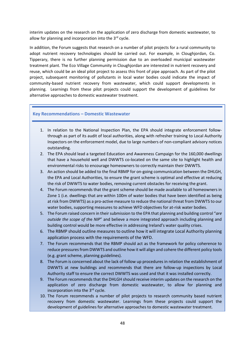interim updates on the research on the application of zero discharge from domestic wastewater, to allow for planning and incorporation into the  $3<sup>rd</sup>$  cycle.

In addition, the Forum suggests that research on a number of pilot projects for a rural community to adopt nutrient recovery technologies should be carried out. For example, in Cloughjordan, Co. Tipperary, there is no further planning permission due to an overloaded municipal wastewater treatment plant. The Eco Village Community in Cloughjordan are interested in nutrient recovery and reuse, which could be an ideal pilot project to assess this front of pipe approach. As part of the pilot project, subsequent monitoring of pollutants in local water bodies could indicate the impact of community-based nutrient recovery from wastewater, which could support developments in planning. Learnings from these pilot projects could support the development of guidelines for alternative approaches to domestic wastewater treatment.

## **Key Recommendations – Domestic Wastewater**

- 1. In relation to the National Inspection Plan, the EPA should integrate enforcement followthrough as part of its audit of local authorities, along with refresher training to Local Authority Inspectors on the enforcement model, due to large numbers of non-compliant advisory notices outstanding.
- 2. The EPA should lead a targeted Education and Awareness Campaign for the 160,000 dwellings that have a household well and DWWTS co-located on the same site to highlight health and environmental risks to encourage homeowners to correctly maintain their DWWTS.
- 3. An action should be added to the final RBMP for on-going communication between the DHLGH, the EPA and Local Authorities, to ensure the grant scheme is optimal and effective at reducing the risk of DWWTS to water bodies, removing current obstacles for receiving the grant.
- 4. The Forum recommends that the grant scheme should be made available to all homeowners in Zone 1 (i.e. dwellings that are within 100m of water bodies that have been identified as being at risk from DWWTS) as a pro-active measure to reduce the national threat from DWWTS to our water bodies, supporting measures to achieve WFD objectives for at-risk water bodies.
- 5. The Forum raised concern in their submission to the EPA that planning and building control "*are outside the scope of th*e *NIP*" and believe a more integrated approach including planning and building control would be more effective in addressing Ireland's water quality crises.
- 6. The RBMP should outline measures to outline how it will integrate Local Authority planning application process with the requirements of the WFD.
- 7. The Forum recommends that the RBMP should act as the framework for policy coherence to reduce pressures from DWWTS and outline how it will align and cohere the different policy tools (e.g. grant scheme, planning guidelines).
- 8. The Forum is concerned about the lack of follow up procedures in relation the establishment of DWWTS at new buildings and recommends that there are follow-up inspections by Local Authority staff to ensure the correct DWWTS was used and that it was installed correctly.
- 9. The Forum recommends that the DHLGH should receive interim updates on the research on the application of zero discharge from domestic wastewater, to allow for planning and incorporation into the 3<sup>rd</sup> cycle.
- 10. The Forum recommends a number of pilot projects to research community based nutrient recovery from domestic wastewater. Learnings from these projects could support the development of guidelines for alternative approaches to domestic wastewater treatment.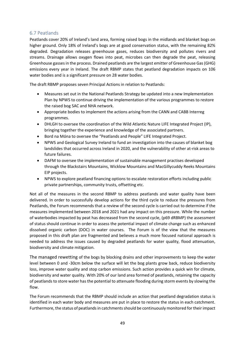# <span id="page-49-0"></span>6.7 Peatlands

Peatlands cover 20% of Ireland's land area, forming raised bogs in the midlands and blanket bogs on higher ground. Only 18% of Ireland's bogs are at good conservation status, with the remaining 82% degraded. Degradation releases greenhouse gases, reduces biodiversity and pollutes rivers and streams. Drainage allows oxygen flows into peat, microbes can then degrade the peat, releasing Greenhouse gasses in the process. Drained peatlands are the largest emitter of Greenhouse Gas (GHG) emissions every year in Ireland. The draft RBMP states that peatland degradation impacts on 106 water bodies and is a significant pressure on 28 water bodies.

The draft RBMP proposes seven Principal Actions in relation to Peatlands:

- Measures set out in the National Peatlands Strategy be updated into a new Implementation Plan by NPWS to continue driving the implementation of the various programmes to restore the raised bog SAC and NHA network.
- Appropriate bodies to implement the actions arising from the CANN and CABB Interreg programmes.
- DHLGH to oversee the coordination of the Wild Atlantic Nature LIFE Integrated Project (IP), bringing together the experience and knowledge of the associated partners.
- Bord na Móna to oversee the "Peatlands and People" LIFE Integrated Project.
- NPWS and Geological Survey Ireland to fund an investigation into the causes of blanket bog landslides that occurred across Ireland in 2020, and the vulnerability of other at-risk areas to future failures.
- DAFM to oversee the implementation of sustainable management practises developed through the Blackstairs Mountains, Wicklow Mountains and MacGillycuddy Reeks Mountains EIP projects.
- NPWS to explore peatland financing options to escalate restoration efforts including public private partnerships, community trusts, offsetting etc.

Not all of the measures in the second RBMP to address peatlands and water quality have been delivered. In order to successfully develop actions for the third cycle to reduce the pressures from Peatlands, the Forum recommends that a review of the second cycle is carried out to determine if the measures implemented between 2018 and 2021 had any impact on this pressure. While the number of waterbodies impacted by peat has decreased from the second cycle, (p69 dRBMP) the assessment of status should continue in order to assess the potential impact of climate change such as enhanced dissolved organic carbon (DOC) in water courses. The Forum is of the view that the measures proposed in this draft plan are fragmented and believes a much more focused national approach is needed to address the issues caused by degraded peatlands for water quality, flood attenuation, biodiversity and climate mitigation.

The managed rewetting of the bogs by blocking drains and other improvements to keep the water level between 0 and -30cm below the surface will let the bog plants grow back, reduce biodiversity loss, improve water quality and stop carbon emissions. Such action provides a quick win for climate, biodiversity and water quality. With 20% of our land area formed of peatlands, retaining the capacity of peatlands to store water has the potential to attenuate flooding during storm events by slowing the flow.

The Forum recommends that the RBMP should include an action that peatland degradation status is identified in each water body and measures are put in place to restore the status in each catchment. Furthermore, the status of peatlands in catchments should be continuously monitored for their impact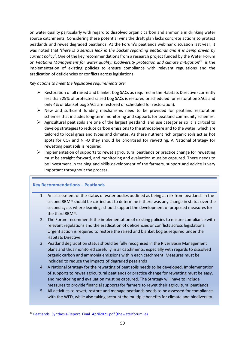on water quality particularly with regard to dissolved organic carbon and ammonia in drinking water source catchments. Considering these potential wins the draft plan lacks concrete actions to protect peatlands and rewet degraded peatlands. At the Forum's peatlands webinar discussion last year, it was noted that '*there is a serious leak in the bucket regarding peatlands and it is being driven by current policy'*. One of the key recommendations from a research project funded by the Water Forum on Peatland Management for water quality, biodiversity protection and climate mitigation<sup>28</sup> is the implementation of existing policies to ensure compliance with relevant regulations and the eradication of deficiencies or conflicts across legislations.

*Key actions to meet the legislative requirements are:*

- $\triangleright$  Restoration of all raised and blanket bog SACs as required in the Habitats Directive (currently less than 25% of protected raised bog SACs is restored or scheduled for restoration SACs and only 4% of blanket bog SACs are restored or scheduled for restoration).
- $\triangleright$  New and sufficient funding mechanisms need to be provided for peatland restoration schemes that includes long-term monitoring and supports for peatland community schemes.
- $\triangleright$  Agricultural peat soils are one of the largest peatland land use categories so it is critical to develop strategies to reduce carbon emissions to the atmosphere and to the water, which are tailored to local grassland types and climates. As these nutrient rich organic soils act as hot spots for  $CO<sub>2</sub>$  and N  $<sub>2</sub>O$  they should be prioritised for rewetting. A National Strategy for</sub> rewetting peat soils is required.
- $\triangleright$  Implementation of supports to rewet agricultural peatlands or practice change for rewetting must be straight forward, and monitoring and evaluation must be captured. There needs to be investment in training and skills development of the farmers, support and advice is very important throughout the process.

# **Key Recommendations – Peatlands**

- 1. An assessment of the status of water bodies outlined as being at risk from peatlands in the second RBMP should be carried out to determine if there was any change in status over the second cycle, where learnings should support the development of proposed measures for the third RBMP.
- 2. The Forum recommends the implementation of existing policies to ensure compliance with relevant regulations and the eradication of deficiencies or conflicts across legislations. Urgent action is required to restore the raised and blanket bog as required under the Habitats Directive.
- 3. Peatland degradation status should be fully recognised in the River Basin Management plans and thus monitored carefully in all catchments, especially with regards to dissolved organic carbon and ammonia emissions within each catchment. Measures must be included to reduce the impacts of degraded peatlands
- 4. A National Strategy for the rewetting of peat soils needs to be developed. Implementation of supports to rewet agricultural peatlands or practice change for rewetting must be easy, and monitoring and evaluation must be captured. The Strategy will have to include measures to provide financial supports for farmers to rewet their agricultural peatlands.
- 5. All activities to rewet, restore and manage peatlands needs to be assessed for compliance with the WFD, while also taking account the multiple benefits for climate and biodiversity.

<sup>&</sup>lt;sup>28</sup> Peatlands Synthesis-Report Final April2021.pdf (thewaterforum.ie)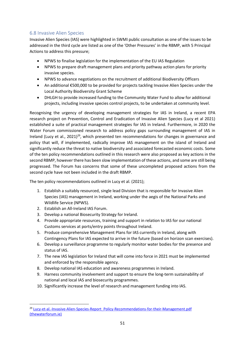# <span id="page-51-0"></span>6.8 Invasive Alien Species

Invasive Alien Species (IAS) were highlighted in SWMI public consultation as one of the issues to be addressed in the third cycle are listed as one of the 'Other Pressures' in the RBMP, with 5 Principal Actions to address this pressure;

- NPWS to finalise legislation for the implementation of the EU IAS Regulation
- NPWS to prepare draft management plans and priority pathway action plans for priority invasive species.
- NPWS to advance negotiations on the recruitment of additional Biodiversity Officers
- An additional €500,000 to be provided for projects tackling Invasive Alien Species under the Local Authority Biodiversity Grant Scheme
- DHLGH to provide increased funding to the Community Water Fund to allow for additional projects, including invasive species control projects, to be undertaken at community level.

Recognising the urgency of developing management strategies for IAS in Ireland, a recent EPA research project on Prevention, Control and Eradication of Invasive Alien Species (Lucy et al 2021) established a suite of practical management strategies for IAS in Ireland. Furthermore, in 2020 the Water Forum commissioned research to address policy gaps surrounding management of IAS in Ireland (Lucy et al.,  $2021$ )<sup>29</sup>, which presented ten recommendations for changes in governance and policy that will, if implemented, radically improve IAS management on the island of Ireland and significantly reduce the threat to native biodiversity and associated forecasted economic costs. Some of the ten policy recommendations outlined in this research were also proposed as key actions in the second RBMP, however there has been slow implementation of these actions, and some are still being progressed. The Forum has concerns that some of these uncompleted proposed actions from the second cycle have not been included in the draft RBMP.

The ten policy recommendations outlined in Lucy et al. (2021);

- 1. Establish a suitably resourced, single lead Division that is responsible for Invasive Alien Species (IAS) management in Ireland, working under the aegis of the National Parks and Wildlife Service (NPWS).
- 2. Establish an All-Ireland IAS Forum.
- 3. Develop a national Biosecurity Strategy for Ireland.
- 4. Provide appropriate resources, training and support in relation to IAS for our national Customs services at ports/entry points throughout Ireland.
- 5. Produce comprehensive Management Plans for IAS currently in Ireland, along with Contingency Plans for IAS expected to arrive in the future (based on horizon scan exercises).
- 6. Develop a surveillance programme to regularly monitor water bodies for the presence and status of IAS.
- 7. The new IAS legislation for Ireland that will come into force in 2021 must be implemented and enforced by the responsible agency.
- 8. Develop national IAS education and awareness programmes in Ireland.
- 9. Harness community involvement and support to ensure the long-term sustainability of national and local IAS and biosecurity programmes.
- 10. Significantly increase the level of research and management funding into IAS.

<sup>&</sup>lt;sup>29</sup> Lucy-et-al.-Invasive-Alien-Species-Report\_Policy-Recommendations-for-their-Management.pdf [\(thewaterforum.ie\)](https://thewaterforum.ie/app/uploads/2021/12/Lucy-et-al.-Invasive-Alien-Species-Report_Policy-Recommendations-for-their-Management.pdf)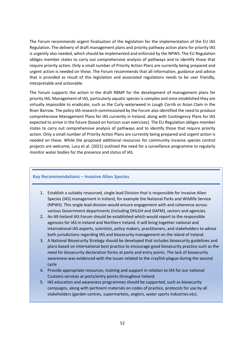The Forum recommends urgent finalisation of the legislation for the implementation of the EU IAS Regulation. The delivery of draft management plans and priority pathway action plans for priority IAS is urgently also needed, which should be implemented and enforced by the NPWS. The EU Regulation obliges member states to carry out comprehensive analysis of pathways and to identify those that require priority action. Only a small number of Priority Action Plans are currently being prepared and urgent action is needed on these. The Forum recommends that all information, guidance and advice that is provided as result of this legislation and associated regulations needs to be user friendly, interpretable and actionable.

The Forum supports the action in the draft RBMP for the development of management plans for priority IAS; Management of IAS, particularly aquatic species is complex and once established they are virtually impossible to eradicate, such as the Curly waterweed in Lough Corrib or Asian Clam in the River Barrow. The policy IAS research commissioned by the Forum also identified the need to produce comprehensive Management Plans for IAS currently in Ireland, along with Contingency Plans for IAS expected to arrive in the future (based on horizon scan exercises). The EU Regulation obliges member states to carry out comprehensive analysis of pathways and to identify those that require priority action. Only a small number of Priority Action Plans are currently being prepared and urgent action is needed on these. While the proposed additional resources for community invasive species control projects are welcome, Lucy et al. (2021) outlined the need for a surveillance programme to regularly monitor water bodies for the presence and status of IAS.

## **Key Recommendations – Invasive Alien Species**

- 1. Establish a suitably resourced, single lead Division that is responsible for Invasive Alien Species (IAS) management in Ireland, for example the National Parks and Wildlife Service (NPWS). This single lead division would ensure engagement with and coherence across various Government departments (including DHLGH and DAFM), sectors and agencies.
- 2. An All-Ireland IAS Forum should be established which would report to the responsible agencies for IAS in Ireland and Northern Ireland. It will bring together national and international IAS experts, scientists, policy makers, practitioners, and stakeholders to advise both jurisdictions regarding IAS and biosecurity management on the island of Ireland.
- 3. A National Biosecurity Strategy should be developed that includes biosecurity guidelines and plans based on international best practice to encourage good biosecurity practice such as the need for biosecurity declaration forms at ports and entry points. The lack of biosecurity awareness was evidenced with the issues related to the crayfish plague during the second cycle
- 4. Provide appropriate resources, training and support in relation to IAS for our national Customs services at ports/entry points throughout Ireland.
- 5. IAS education and awareness programmes should be supported, such as biosecurity campaigns, along with pertinent materials on codes of practice, protocols for use by all stakeholders (garden centres, supermarkets, anglers, water sports industries etc).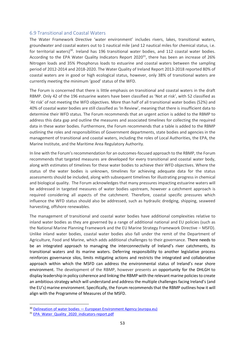#### <span id="page-53-0"></span>6.9 Transitional and Coastal Waters

The Water Framework Directive 'water environment' includes rivers, lakes, transitional waters, groundwater and coastal waters out to 1 nautical mile (and 12 nautical miles for chemical status, i.e. for territorial waters)<sup>30</sup>. Ireland has 196 transitional water bodies, and 112 coastal water bodies. According to the EPA Water Quality Indicators Report 2020 $31$ , there has been an increase of 26% Nitrogen loads and 35% Phosphorus loads to estuarine and coastal waters between the sampling period of 2012-2014 and 2018-2020. The Water Quality of Ireland Report 2013-2018 reported 80% of coastal waters are in good or high ecological status, however, only 38% of transitional waters are currently meeting the minimum 'good' status of the WFD.

The Forum is concerned that there is little emphasis on transitional and coastal waters in the draft RBMP. Only 42 of the 196 estuarine waters have been classified as 'Not at risk', with 52 classified as 'At risk' of not meeting the WFD objectives. More than half of all transitional water bodies (52%) and 40% of coastal water bodies are still classified as 'In Review', meaning that there is insufficient data to determine their WFD status. The Forum recommends that an urgent action is added to the RBMP to address this data gap and outline the measures and associated timelines for collecting the required data in these water bodies. Furthermore, the Forum recommends that a table is added to the RBMP outlining the roles and responsibilities of Government departments, state bodies and agencies in the management of transitional and coastal waters, including the roles of Local Authorities, the EPA, the Marine Institute, and the Maritime Area Regulatory Authority.

In line with the Forum's recommendation for an outcomes-focused approach to the RBMP, the Forum recommends that targeted measures are developed for every transitional and coastal water body, along with estimates of timelines for these water bodies to achieve their WFD objectives. Where the status of the water bodies is unknown, timelines for achieving adequate data for the status assessments should be included, along with subsequent timelines for illustrating progress in chemical and biological quality. The Forum acknowledges that many pressures impacting estuarine waters will be addressed in targeted measures of water bodies upstream, however a catchment approach is required considering all aspects of the catchment. Therefore, coastal specific pressures which influence the WFD status should also be addressed, such as hydraulic dredging, shipping, seaweed harvesting, offshore renewables.

The management of transitional and coastal water bodies have additional complexities relative to inland water bodies as they are governed by a range of additional national and EU policies (such as the National Marine Planning Framework and the EU Marine Strategy Framework Directive – MSFD). Unlike inland water bodies, coastal water bodies also fall under the remit of the Department of Agriculture, Food and Marine, which adds additional challenges to their governance. There needs to be an integrated approach to managing the interconnectivity of Ireland's river catchments, its transitional waters and its marine waters. Deferring responsibility to another legislative process reinforces governance silos, limits mitigating actions and restricts the integrated and collaborative approach within which the MSFD can address the environmental status of Ireland's near shore environment. The development of the RBMP, however presents an opportunity for the DHLGH to display leadership in policy coherence and linking the RBMP with the relevant marine policies to create an ambitious strategy which will understand and address the multiple challenges facing Ireland's (and the EU's) marine environment. Specifically, the Forum recommends that the RBMP outlines how it will align with the Programme of Measures of the MSFD.

<sup>&</sup>lt;sup>30</sup> Delineation of water bodies - [European Environment Agency \(europa.eu\)](https://www.eea.europa.eu/themes/water/european-waters/water-quality-and-water-assessment/water-assessments/delineation-of-water-bodies#:~:text=The%20Water%20Framework%20Directive%20%E2%80%98water%20environment%E2%80%99%20includes%20rivers%2C,waters%20are%20divided%20into%20units%20called%20water%20bodies.)

<sup>&</sup>lt;sup>31</sup> [EPA\\_Water\\_Quality\\_2020\\_indicators-report.pdf](https://www.epa.ie/publications/monitoring--assessment/freshwater--marine/EPA_Water_Quality_2020_indicators-report.pdf)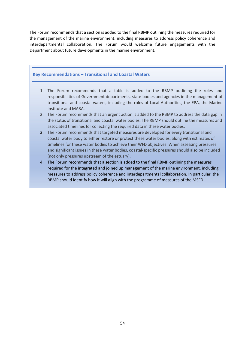The Forum recommends that a section is added to the final RBMP outlining the measures required for the management of the marine environment, including measures to address policy coherence and interdepartmental collaboration. The Forum would welcome future engagements with the Department about future developments in the marine environment.

### **Key Recommendations – Transitional and Coastal Waters**

- 1. The Forum recommends that a table is added to the RBMP outlining the roles and responsibilities of Government departments, state bodies and agencies in the management of transitional and coastal waters, including the roles of Local Authorities, the EPA, the Marine Institute and MARA.
- 2. The Forum recommends that an urgent action is added to the RBMP to address the data gap in the status of transitional and coastal water bodies. The RBMP should outline the measures and associated timelines for collecting the required data in these water bodies.
- 3. The Forum recommends that targeted measures are developed for every transitional and coastal water body to either restore or protect these water bodies, along with estimates of timelines for these water bodies to achieve their WFD objectives. When assessing pressures and significant issues in these water bodies, coastal-specific pressures should also be included (not only pressures upstream of the estuary).
- 4. The Forum recommends that a section is added to the final RBMP outlining the measures required for the integrated and joined up management of the marine environment, including measures to address policy coherence and interdepartmental collaboration. In particular, the RBMP should identify how it will align with the programme of measures of the MSFD.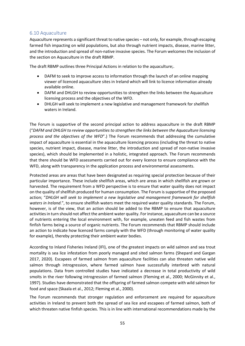# <span id="page-55-0"></span>6.10 Aquaculture

Aquaculture represents a significant threat to native species – not only, for example, through escaping farmed fish impacting on wild populations, but also through nutrient impacts, disease, marine litter, and the introduction and spread of non-native invasive species. The Forum welcomes the inclusion of the section on Aquaculture in the draft RBMP.

The draft RBMP outlines three Principal Actions in relation to the aquaculture;.

- DAFM to seek to improve access to information through the launch of an online mapping viewer of licenced aquaculture sites in Ireland which will link to licence information already available online.
- DAFM and DHLGH to review opportunities to strengthen the links between the Aquaculture licensing process and the objectives of the WFD.
- DHLGH will seek to implement a new legislative and management framework for shellfish waters in Ireland.

The Forum is supportive of the second principal action to address aquaculture in the draft RBMP ("*DAFM and DHLGH to review opportunities to strengthen the links between the Aquaculture licensing process and the objectives of the WFD*".) The Forum recommends that addressing the cumulative impact of aquaculture is essential in the aquaculture licencing process (including the threat to native species, nutrient impact, disease, marine litter, the introduction and spread of non-native invasive species), which should be implemented in a holistic, integrated approach. The Forum recommends that there should be WFD assessments carried out for every licence to ensure compliance with the WFD, along with transparency in the application process and environmental assessments.

Protected areas are areas that have been designated as requiring special protection because of their particular importance. These include shellfish areas, which are areas in which shellfish are grown or harvested. The requirement from a WFD perspective is to ensure that water quality does not impact on the quality of shellfish produced for human consumption. The Forum is supportive of the proposed action; "*DHLGH will seek to implement a new legislative and management framework for shellfish waters in Ireland*.", to ensure shellfish waters meet the required water quality standards. The Forum, however, is of the view, that an action should be added to the RBMP to ensure that aquaculture activities in turn should not affect the ambient water quality. For instance, aquaculture can be a source of nutrients entering the local environment with, for example, uneaten feed and fish wastes from finfish farms being a source of organic nutrients. The Forum recommends that RBMP should include an action to indicate how licenced farms comply with the WFD (through monitoring of water quality for example), thereby protecting their ambient water bodies.

According to Inland Fisheries Ireland (IFI), one of the greatest impacts on wild salmon and sea trout mortality is sea lice infestation from poorly managed and sited salmon farms (Shepard and Gargan 2017, 2020). Escapees of farmed salmon from aquaculture facilities can also threaten native wild salmon through introgression, where farmed salmon have successfully interbred with natural populations. Data from controlled studies have indicated a decrease in total productivity of wild smolts in the river following introgression of farmed salmon (Fleming et al., 2000; McGinnity et al., 1997). Studies have demonstrated that the offspring of farmed salmon compete with wild salmon for food and space (Skaala et al., 2012; Fleming et al., 2000).

The Forum recommends that stronger regulation and enforcement are required for aquaculture activities in Ireland to prevent both the spread of sea lice and escapees of farmed salmon, both of which threaten native finfish species. This is in line with international recommendations made by the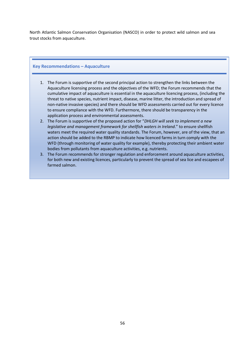North Atlantic Salmon Conservation Organisation (NASCO) in order to protect wild salmon and sea trout stocks from aquaculture.

## **Key Recommendations – Aquaculture**

- 1. The Forum is supportive of the second principal action to strengthen the links between the Aquaculture licensing process and the objectives of the WFD; the Forum recommends that the cumulative impact of aquaculture is essential in the aquaculture licencing process, (including the threat to native species, nutrient impact, disease, marine litter, the introduction and spread of non-native invasive species) and there should be WFD assessments carried out for every licence to ensure compliance with the WFD. Furthermore, there should be transparency in the application process and environmental assessments.
- 2. The Forum is supportive of the proposed action for "*DHLGH will seek to implement a new legislative and management framework for shellfish waters in Ireland*." to ensure shellfish waters meet the required water quality standards. The Forum, however, are of the view, that an action should be added to the RBMP to indicate how licenced farms in turn comply with the WFD (through monitoring of water quality for example), thereby protecting their ambient water bodies from pollutants from aquaculture activities, e.g. nutrients.
- 3. The Forum recommends for stronger regulation and enforcement around aquaculture activities, for both new and existing licences, particularly to prevent the spread of sea lice and escapees of farmed salmon.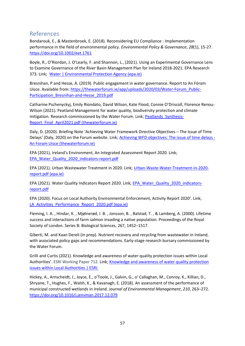# <span id="page-57-0"></span>References

Bondarouk, E., & Mastenbroek, E. (2018). Reconsidering EU Compliance : Implementation performance in the field of environmental policy. *Environmental Policy & Governance*, *28*(1), 15‑27. <https://doi.org/10.1002/eet.1761>

Boyle, R., O'Riordan, J. O'Learly, F. and Shannon, L., (2021). Using an Experimental Governance Lens to Examine Governance of the River Basin Management Plan for Ireland 2018-2021. EPA Research 373. Link; [Water | Environmental Protection Agency \(epa.ie\)](https://www.epa.ie/publications/research/water/research-373-using-an-experimental-governance-lens-to-examine-governance-of-the-river-basin-management-plan-for-ireland-20182021.php)

Bresnihan, P and Hesse, A. (2019). Public engagement in water governance. Report to An Fóram Uisce. Available from[: https://thewaterforum.ie/app/uploads/2020/03/Water-Forum\\_Public-](https://thewaterforum.ie/app/uploads/2020/03/Water-Forum_Public-Participation_Bresnihan-and-Hesse_2019.pdf)[Participation\\_Bresnihan-and-Hesse\\_2019.pdf](https://thewaterforum.ie/app/uploads/2020/03/Water-Forum_Public-Participation_Bresnihan-and-Hesse_2019.pdf)

Catharine Pschenyckyj, Emily Riondato, David Wilson, Kate Flood, Connie O'Driscoll, Florence Renou-Wilson (2021). Peatland Management for water quality, biodiversity protection and climate mitigation. Research commissioned by the Water Forum. Link; [Peatlands\\_Synthesis-](https://www.thewaterforum.ie/app/uploads/2021/04/Peatlands_Synthesis-Report_Final_April2021.pdf)[Report\\_Final\\_April2021.pdf \(thewaterforum.ie\)](https://www.thewaterforum.ie/app/uploads/2021/04/Peatlands_Synthesis-Report_Final_April2021.pdf)

Daly, D. (2020). Briefing Note 'Achieving Water Framework Directive Objectives – The Issue of Time Delays' (Daly, 2020) on the Forum website. Link[; Achieving WFD objectives: The issue of time delays -](https://thewaterforum.ie/achieving-wfd-objectives-the-issue-of-time-delays/) [An Foram Uisce \(thewaterforum.ie\)](https://thewaterforum.ie/achieving-wfd-objectives-the-issue-of-time-delays/)

EPA (2021), Ireland's Environment, An Integrated Assessment Report 2020. Link; [EPA\\_Water\\_Quality\\_2020\\_indicators-report.pdf](https://www.epa.ie/publications/monitoring--assessment/freshwater--marine/EPA_Water_Quality_2020_indicators-report.pdf)

EPA (2021). Urban Wastewater Treatment in 2020. Link; [Urban-Waste-Water-Treatment-in-2020](https://www.epa.ie/publications/monitoring--assessment/waste-water/Urban-Waste-Water-Treatment-in-2020-report.pdf) [report.pdf \(epa.ie\)](https://www.epa.ie/publications/monitoring--assessment/waste-water/Urban-Waste-Water-Treatment-in-2020-report.pdf)

EPA (2021). Water Quality Indicators Report 2020. Link; [EPA\\_Water\\_Quality\\_2020\\_indicators](https://www.epa.ie/publications/monitoring--assessment/freshwater--marine/EPA_Water_Quality_2020_indicators-report.pdf)[report.pdf](https://www.epa.ie/publications/monitoring--assessment/freshwater--marine/EPA_Water_Quality_2020_indicators-report.pdf)

EPA (2020). Focus on Local Authority Environmental Enforcement, Activity Report 2020'. Link; LA Activities Performance Report 2020.pdf (epa.ie)

Fleming, I. A. , Hindar, K. , Mjølnerød, I. B. , Jonsson, B. , Balstad, T. , & Lamberg, A. (2000). Lifetime success and interactions of farm salmon invading a native population. Proceedings of the Royal Society of London. Series B: Biological Sciences, 267, 1452–1517.

Giberti, M. and Kaan Dereli (in prep). Nutrient recovery and recycling from wastewater in Ireland, with associated policy gaps and recommendations. Early-stage research bursary commissioned by the Water Forum.

Grilli and Curtis (2021). Knowledge and awareness of water quality protection issues within Local Authorities'. ESRI Working Paper 712. Link; Knowledge and awareness of water quality protection [issues within Local Authorities | ESRI.](https://www.esri.ie/publications/knowledge-and-awareness-of-water-quality-protection-issues-within-local-authorities)

Hickey, A., Arnscheidt, J., Joyce, E., o'Toole, J., Galvin, G., o' Callaghan, M., Conroy, K., Killian, D., Shryane, T., Hughes, F., Walsh, K., & Kavanagh, E. (2018). An assessment of the performance of municipal constructed wetlands in Ireland. *Journal of Environmental Management*, *210*, 263–272. <https://doi.org/10.1016/j.jenvman.2017.12.079>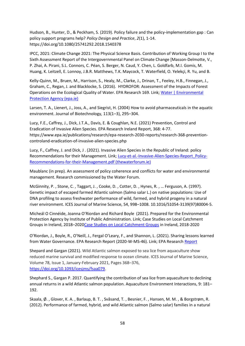Hudson, B., Hunter, D., & Peckham, S. (2019). Policy failure and the policy-implementation gap : Can policy support programs help? *Policy Design and Practice*, *2*(1), 1‑14. https://doi.org/10.1080/25741292.2018.1540378

IPCC, 2021: Climate Change 2021: The Physical Science Basis. Contribution of Working Group I to the Sixth Assessment Report of the Intergovernmental Panel on Climate Change [Masson-Delmotte, V., P. Zhai, A. Pirani, S.L. Connors, C. Péan, S. Berger, N. Caud, Y. Chen, L. Goldfarb, M.I. Gomis, M. Huang, K. Leitzell, E. Lonnoy, J.B.R. Matthews, T.K. Maycock, T. Waterfield, O. Yelekçi, R. Yu, and B.

Kelly-Quinn, M., Bruen, M., Harrison, S., Healy, M., Clarke, J., Drinan, T., Feeley, H.B., Finnegan, J., Graham, C., Regan, J. and Blacklocke, S. (2016). HYDROFOR: Assessment of the Impacts of Forest Operations on the Ecological Quality of Water. EPA Research 169. Link[; Water | Environmental](https://www.epa.ie/publications/research/water/research-report-169.php)  [Protection Agency \(epa.ie\)](https://www.epa.ie/publications/research/water/research-report-169.php)

Larsen, T. A., Lienert, J., Joss, A., and Siegrist, H. (2004) How to avoid pharmaceuticals in the aquatic environment. Journal of Biotechnology, 113(1–3), 295–304.

Lucy, F.E., Caffrey, J., Dick, J.T.A., Davis, E. & Coughlan, N.E. (2021) Prevention, Control and Eradication of Invasive Alien Species. EPA Research Ireland Report, 368: 4-77. https://www.epa.ie/publications/research/epa-research-2030-reports/research-368-preventioncontroland-eradication-of-invasive-alien-species.php

Lucy, F., Caffrey, J. and Dick, J . (2021). Invasive Alien Species in the Republic of Ireland: policy Recommendations for their Management. Link; [Lucy-et-al.-Invasive-Alien-Species-Report\\_Policy-](https://thewaterforum.ie/app/uploads/2021/12/Lucy-et-al.-Invasive-Alien-Species-Report_Policy-Recommendations-for-their-Management.pdf)[Recommendations-for-their-Management.pdf \(thewaterforum.ie\)](https://thewaterforum.ie/app/uploads/2021/12/Lucy-et-al.-Invasive-Alien-Species-Report_Policy-Recommendations-for-their-Management.pdf)

Maublanc (in prep). An assessment of policy coherence and conflicts for water and environmental management. Research commissioned by the Water Forum.

McGinnity, P. , Stone, C. , Taggart, J. , Cooke, D. , Cotter, D. , Hynes, R. , … Ferguson, A. (1997). Genetic impact of escaped farmed Atlantic salmon (Salmo salar L.) on native populations: Use of DNA profiling to assess freshwater performance of wild, farmed, and hybrid progeny in a natural river environment. ICES Journal of Marine Science, 54, 998–1008. 10.1016/S1054-3139(97)80004-5.

Micheál O Cinnéide, Joanna O'Riordan and Richard Boyle (2021). Prepared for the Environmental Protection Agency by Institute of Public Administration. Link; Case Studies on Local Catchment Groups in Ireland, 2018–202[0Case Studies on Local Catchment Groups](https://irishriverprojectwater.files.wordpress.com/2022/03/local_catchment_groups_in_ireland_may2021.pdf) in Ireland, 2018-2020

O'Riordan, J., Boyle, R., O'Neill, J., Fergal O'Leary, F., and Shannon, L. (2021). Sharing lessons learned from Water Governance. EPA Research Report (2020-W-MS-46). Link; EPA Researc[h Report](https://www.epa.ie/publications/research/water/Research_Report_406.pdf)

Shepard and Gargan (2021). Wild Atlantic salmon exposed to sea lice from aquaculture show reduced marine survival and modified response to ocean climate. ICES Journal of Marine Science, Volume 78, Issue 1, January-February 2021, Pages 368–376, [https://doi.org/10.1093/icesjms/fsaa079.](https://doi.org/10.1093/icesjms/fsaa079)

Shephard S., Gargan P. 2017. Quantifying the contribution of sea lice from aquaculture to declining annual returns in a wild Atlantic salmon population. Aquaculture Environment Interactions, 9: 181– 192.

Skaala, Ø. , Glover, K. A. , Barlaup, B. T. , Svåsand, T. , Besnier, F. , Hansen, M. M. , & Borgstrøm, R. (2012). Performance of farmed, hybrid, and wild Atlantic salmon (Salmo salar) families in a natural